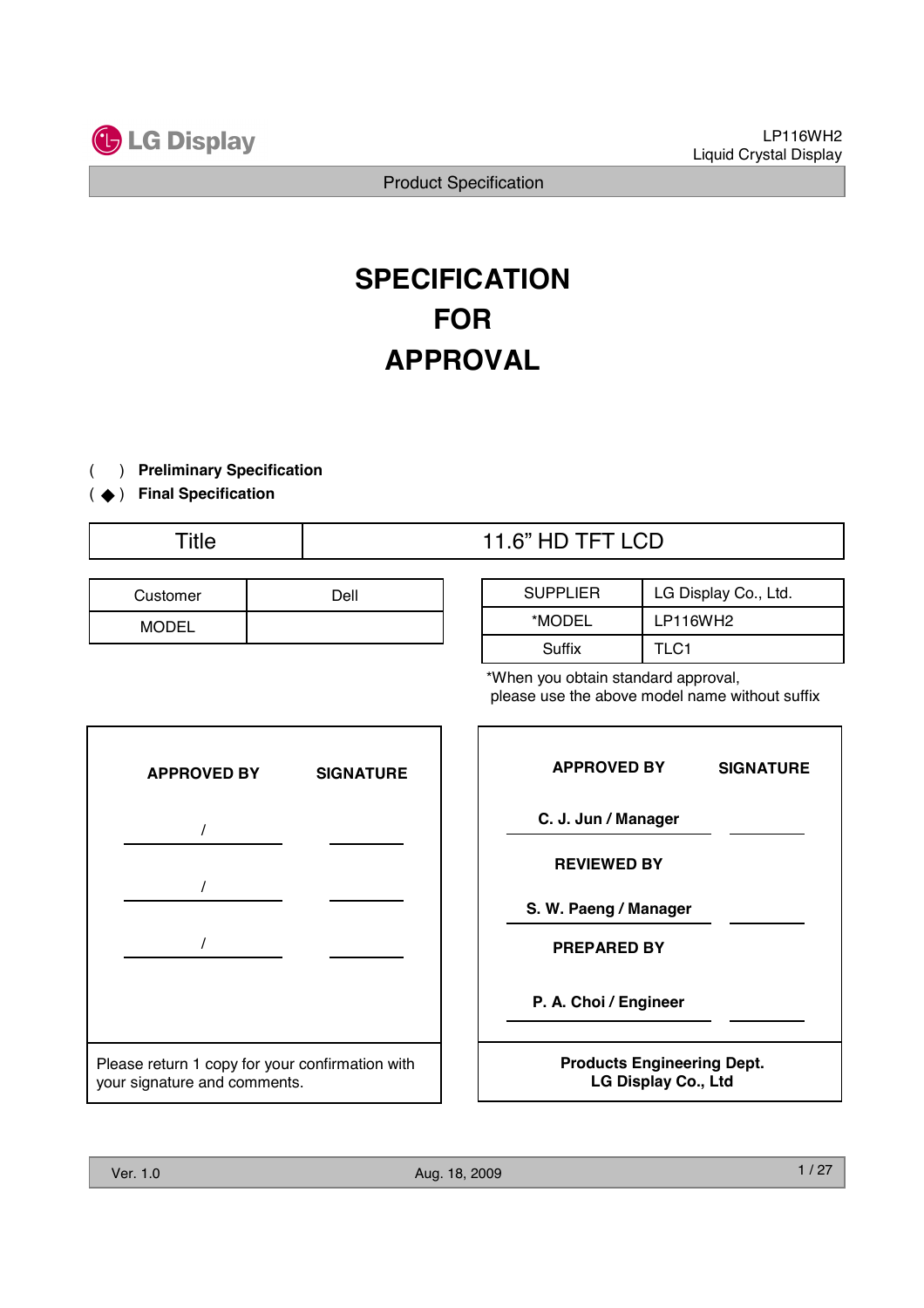

# **SPECIFICATION FOR APPROVAL**

- ) **Preliminary Specification** (
- (  $\blacklozenge$  ) Final Specification
	-

| Customer | Dell |
|----------|------|
| MODEL    |      |

| Title | 11.6" HD TFT LCD |
|-------|------------------|
|       |                  |

| <b>SUPPLIER</b> | LG Display Co., Ltd. |  |  |
|-----------------|----------------------|--|--|
| *MODEL          | LP116WH2             |  |  |
| Suffix          | TLC1                 |  |  |

\*When you obtain standard approval, please use the above model name without suffix



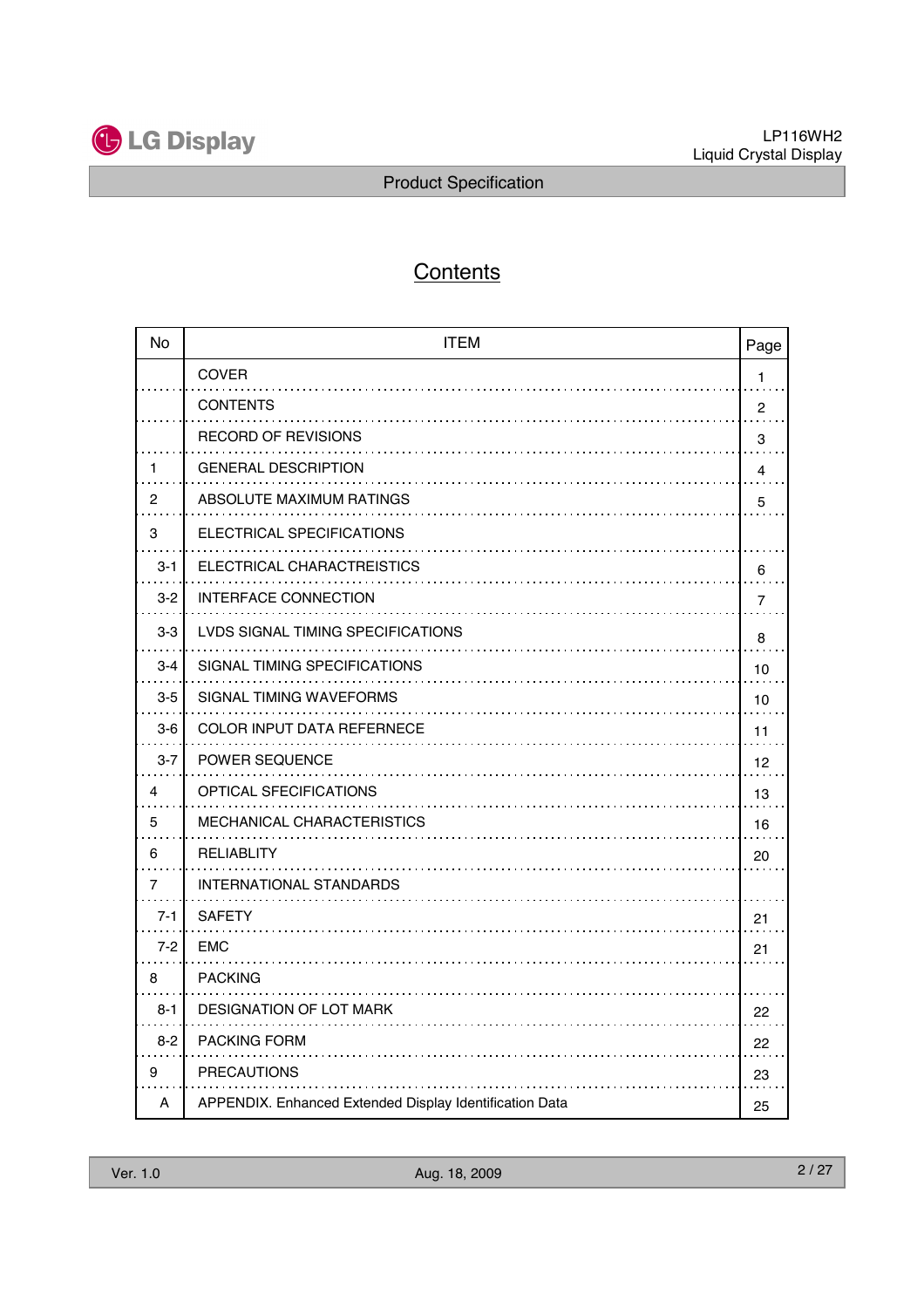

# **Contents**

| <b>No</b> | <b>ITEM</b>                                             | Page           |
|-----------|---------------------------------------------------------|----------------|
|           | <b>COVER</b>                                            | 1              |
|           | <b>CONTENTS</b><br>.                                    | $\overline{c}$ |
|           | <b>RECORD OF REVISIONS</b>                              | 3              |
| 1         | <b>GENERAL DESCRIPTION</b>                              | $\overline{4}$ |
| 2         | ABSOLUTE MAXIMUM RATINGS                                | 5              |
| 3         | ELECTRICAL SPECIFICATIONS                               |                |
| $3 - 1$   | ELECTRICAL CHARACTREISTICS                              | 6              |
| $3 - 2$   | <b>INTERFACE CONNECTION</b>                             | 7              |
| $3-3$     | LVDS SIGNAL TIMING SPECIFICATIONS                       | 8              |
| $3 - 4$   | SIGNAL TIMING SPECIFICATIONS                            | 10             |
| $3-5$     | SIGNAL TIMING WAVEFORMS                                 | 10             |
| $3-6$     | <b>COLOR INPUT DATA REFERNECE</b>                       | 11             |
| $3 - 7$   | <b>POWER SEQUENCE</b>                                   | 12             |
| 4         | OPTICAL SFECIFICATIONS                                  | 13             |
| 5         | <b>MECHANICAL CHARACTERISTICS</b>                       | 16             |
| 6         | RELIABLITY                                              | 20             |
| 7         | <b>INTERNATIONAL STANDARDS</b>                          |                |
| $7 - 1$   | <b>SAFETY</b>                                           | 21             |
| $7 - 2$   | <b>EMC</b>                                              | 21             |
| 8         | <b>PACKING</b>                                          |                |
| $8 - 1$   | DESIGNATION OF LOT MARK                                 | 22             |
| $8 - 2$   | <b>PACKING FORM</b>                                     | 22             |
| 9         | <b>PRECAUTIONS</b>                                      | 23             |
| A         | APPENDIX. Enhanced Extended Display Identification Data | 25             |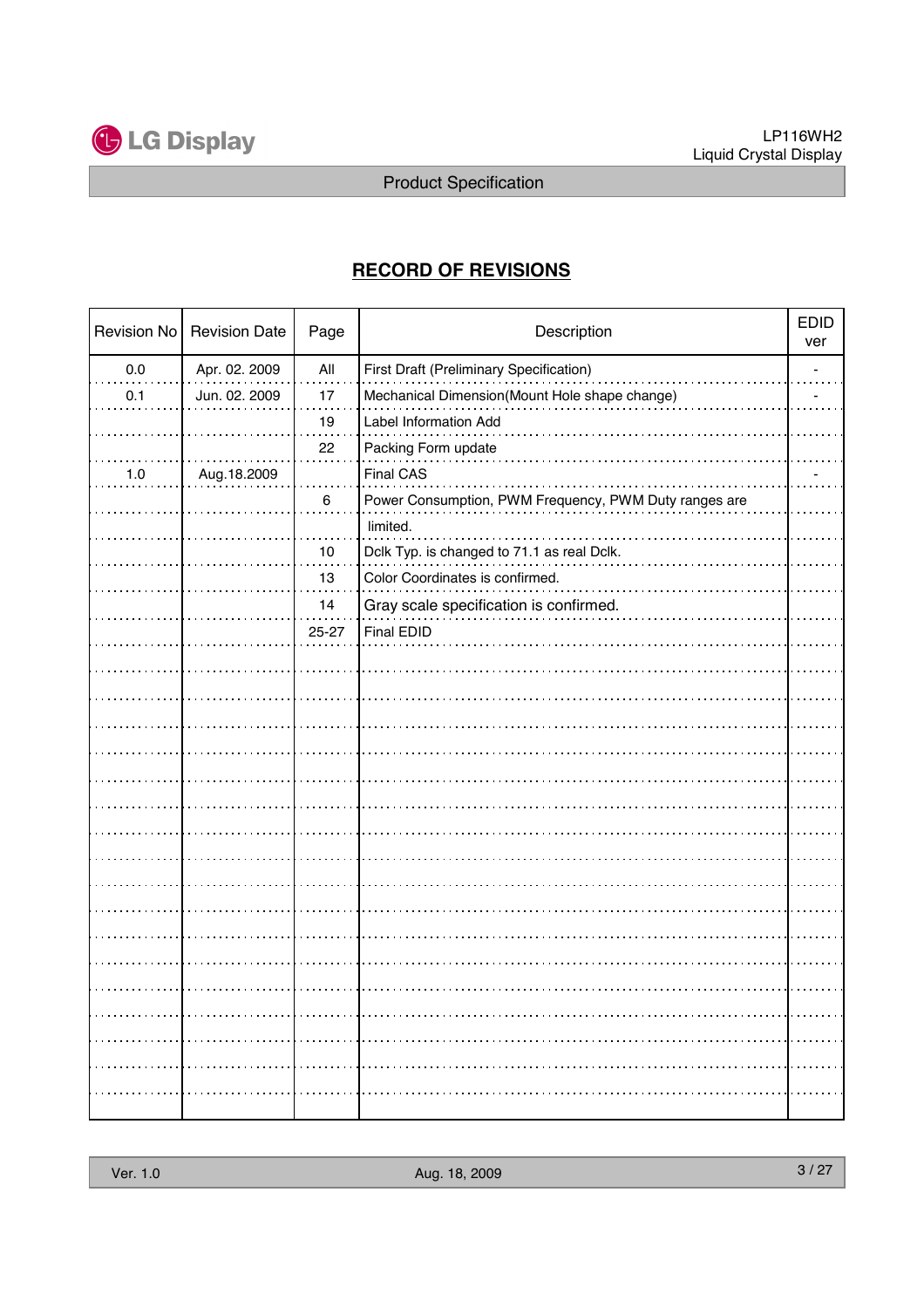

## **RECORD OF REVISIONS**

| Revision No | <b>Revision Date</b> | Page  | Description                                           | <b>EDID</b><br>ver |
|-------------|----------------------|-------|-------------------------------------------------------|--------------------|
| 0.0         | Apr. 02. 2009        | All   | First Draft (Preliminary Specification)               |                    |
| 0.1         | Jun. 02. 2009        | 17    | Mechanical Dimension(Mount Hole shape change)         |                    |
|             |                      | 19    | Label Information Add                                 |                    |
|             |                      | 22    | Packing Form update                                   |                    |
| 1.0         | Aug.18.2009          |       | Final CAS                                             |                    |
|             |                      | 6     | Power Consumption, PWM Frequency, PWM Duty ranges are |                    |
|             |                      |       | limited.                                              |                    |
|             |                      | 10    | Dclk Typ. is changed to 71.1 as real Dclk.            |                    |
|             |                      | 13    | Color Coordinates is confirmed.                       |                    |
|             |                      | 14    | Gray scale specification is confirmed.                |                    |
|             |                      | 25-27 | <b>Final EDID</b>                                     |                    |
|             |                      |       |                                                       |                    |
|             |                      |       |                                                       |                    |
|             |                      |       |                                                       |                    |
|             |                      |       |                                                       |                    |
|             |                      |       |                                                       |                    |
|             |                      |       |                                                       |                    |
|             |                      |       |                                                       |                    |
|             |                      |       |                                                       |                    |
|             |                      |       |                                                       |                    |
|             |                      |       |                                                       |                    |
|             |                      |       |                                                       |                    |
|             |                      |       |                                                       |                    |
|             |                      |       |                                                       |                    |
|             |                      |       |                                                       |                    |
|             |                      |       |                                                       |                    |
|             |                      |       |                                                       |                    |
|             |                      |       |                                                       |                    |
|             |                      |       |                                                       |                    |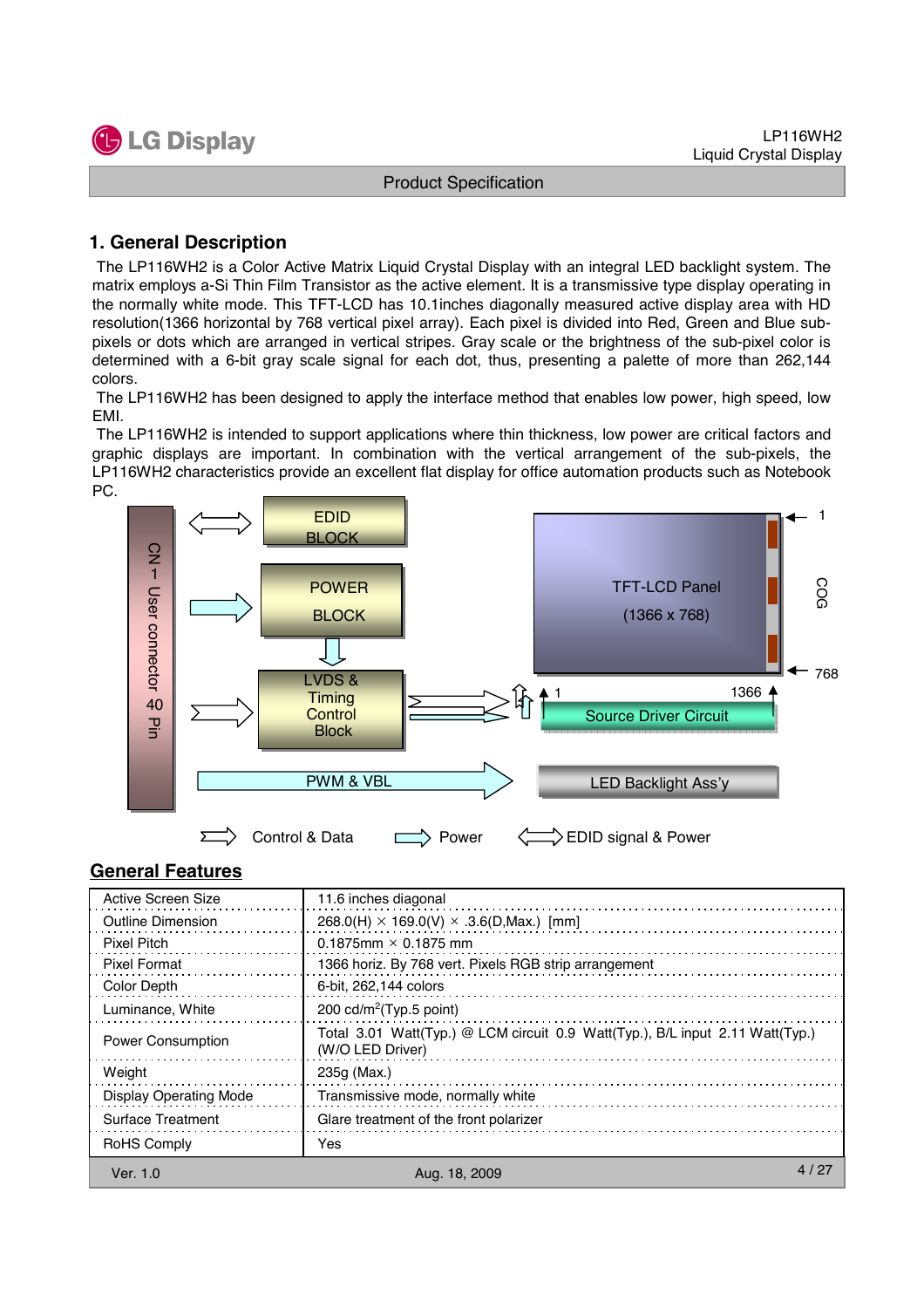

#### **1. General Description**

The LP116WH2 is a Color Active Matrix Liquid Crystal Display with an integral LED backlight system. The matrix employs a-Si Thin Film Transistor as the active element. It is a transmissive type display operating in the normally white mode. This TFT-LCD has 10.1inches diagonally measured active display area with HD resolution(1366 horizontal by 768 vertical pixel array). Each pixel is divided into Red, Green and Blue subpixels or dots which are arranged in vertical stripes. Gray scale or the brightness of the sub-pixel color is determined with a 6-bit gray scale signal for each dot, thus, presenting a palette of more than 262,144 colors.

The LP116WH2 has been designed to apply the interface method that enables low power, high speed, low EMI.

The LP116WH2 is intended to support applications where thin thickness, low power are critical factors and graphic displays are important. In combination with the vertical arrangement of the sub-pixels, the LP116WH2 characteristics provide an excellent flat display for office automation products such as Notebook PC.



#### **General Features**

| <b>Active Screen Size</b>     | 11.6 inches diagonal                                                                              |      |
|-------------------------------|---------------------------------------------------------------------------------------------------|------|
| Outline Dimension             | $268.0(H) \times 169.0(V) \times .3.6(D, Max.)$ [mm]                                              |      |
| <b>Pixel Pitch</b>            | $0.1875$ mm $\times$ 0.1875 mm                                                                    |      |
| Pixel Format                  | 1366 horiz. By 768 vert. Pixels RGB strip arrangement                                             |      |
| Color Depth                   | 6-bit, 262,144 colors                                                                             |      |
| Luminance, White              | 200 cd/m <sup>2</sup> (Typ.5 point)                                                               |      |
| <b>Power Consumption</b>      | Total 3.01 Watt(Typ.) @ LCM circuit 0.9 Watt(Typ.), B/L input 2.11 Watt(Typ.)<br>(W/O LED Driver) |      |
| Weight                        | 235g (Max.)                                                                                       |      |
| <b>Display Operating Mode</b> | Transmissive mode, normally white                                                                 |      |
| Surface Treatment             | Glare treatment of the front polarizer                                                            |      |
| <b>RoHS Comply</b>            | Yes                                                                                               |      |
| Ver. 1.0                      | Aug. 18, 2009                                                                                     | 4/27 |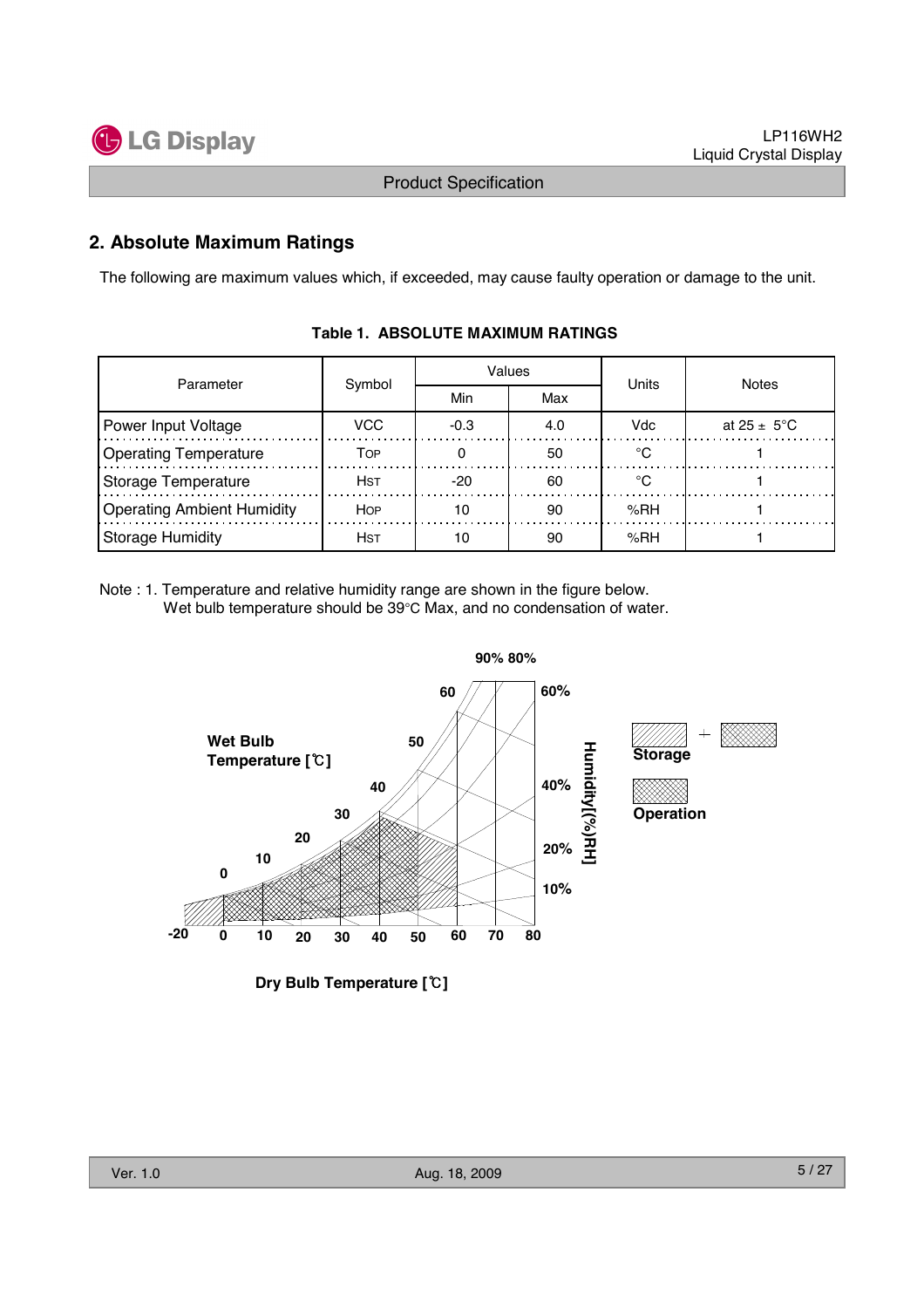

#### **2. Absolute Maximum Ratings**

The following are maximum values which, if exceeded, may cause faulty operation or damage to the unit.

| Parameter                         | Symbol      |        | Values | Units  | Notes                   |  |
|-----------------------------------|-------------|--------|--------|--------|-------------------------|--|
|                                   |             | Min    | Max    |        |                         |  |
| Power Input Voltage               | VCC.        | $-0.3$ | 4.0    | Vdc    | at $25 \pm 5^{\circ}$ C |  |
| <b>Operating Temperature</b>      | Тор         |        | 50     |        |                         |  |
| Storage Temperature               | Hst         | -20    | 60     |        |                         |  |
| <b>Operating Ambient Humidity</b> | <b>HOP</b>  | 10     | 90     | % $RH$ |                         |  |
| Storage Humidity                  | <b>H</b> st |        | 90     | %RH    |                         |  |

#### **Table 1. ABSOLUTE MAXIMUM RATINGS**

Note : 1. Temperature and relative humidity range are shown in the figure below. Wet bulb temperature should be 39°C Max, and no condensation of water.



**Dry Bulb Temperature []**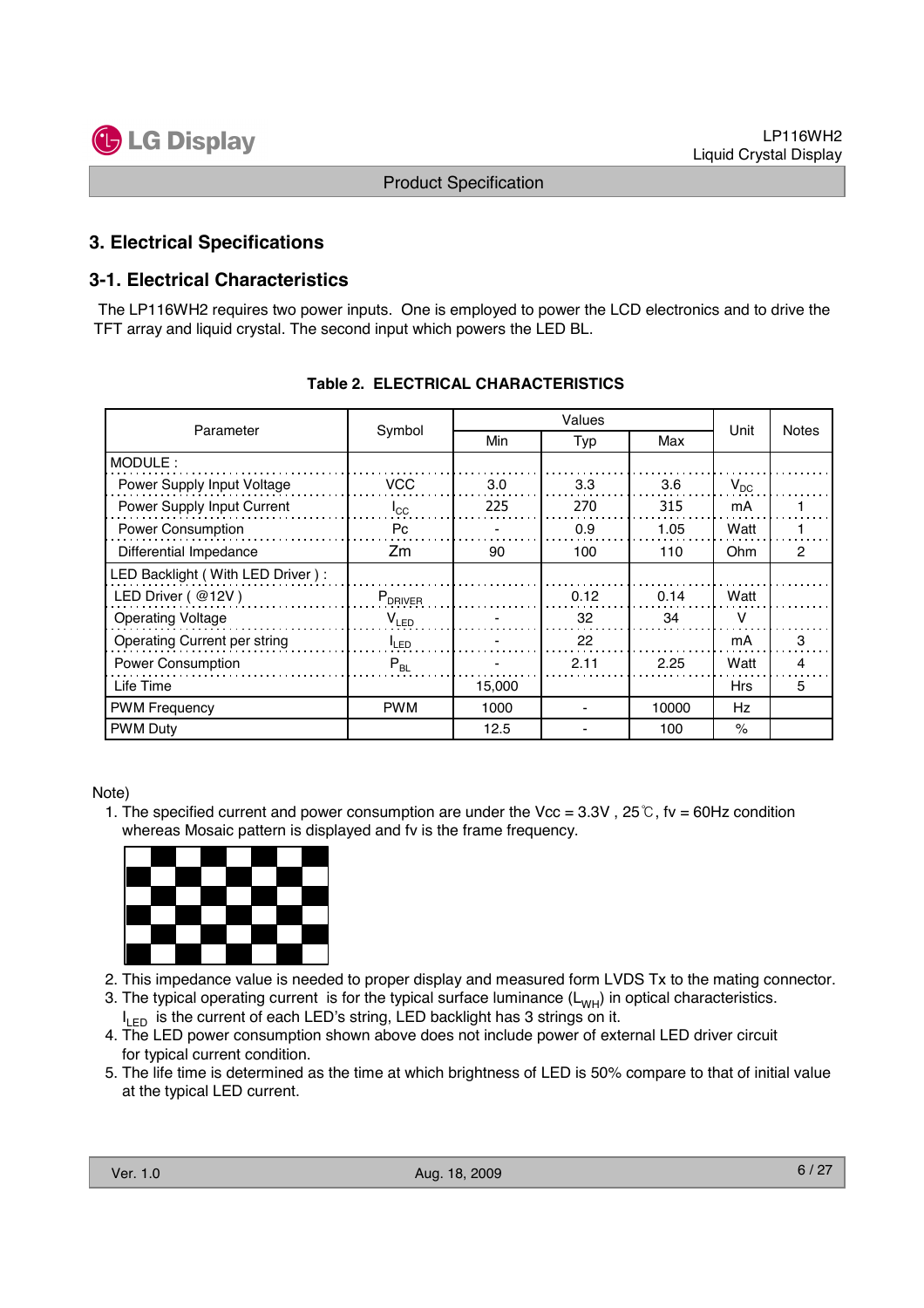

#### **3. Electrical Specifications**

#### **3-1. Electrical Characteristics**

The LP116WH2 requires two power inputs. One is employed to power the LCD electronics and to drive the TFT array and liquid crystal. The second input which powers the LED BL.

| Parameter                        | Symbol           | Min    | Typ  |       | Unit       | <b>Notes</b>   |
|----------------------------------|------------------|--------|------|-------|------------|----------------|
| MODULE:                          |                  |        |      |       |            |                |
| Power Supply Input Voltage       | <b>VCC</b>       | 3.0    | 3.3  | 3.6   | $V_{DC}$   |                |
| Power Supply Input Current       | $I_{\rm CC}$     | 225    | 270  | 315   | mA         |                |
| Power Consumption                | Pc               |        | 0.9  | 1.05  | Watt       |                |
| Differential Impedance           | Zm               | 90     | 100  | 110   | Ohm        | $\overline{c}$ |
| LED Backlight (With LED Driver): |                  |        |      |       |            |                |
| LED Driver (@12V)                | $P_{DRIVER}$     |        | 0.12 | 0.14  | Watt       |                |
| <b>Operating Voltage</b>         | $V_{LED}$        |        | 32   | 34    | v          |                |
| Operating Current per string     | <sup>I</sup> LED |        | 22   |       | mA         | 3              |
| Power Consumption                | $P_{BL}$         |        | 2.11 | 2.25  | Watt       | 4              |
| Life Time                        |                  | 15,000 |      |       | <b>Hrs</b> | 5              |
| <b>PWM Frequency</b>             | <b>PWM</b>       | 1000   |      | 10000 | Hz         |                |
| <b>PWM Duty</b>                  |                  | 12.5   |      | 100   | $\%$       |                |

#### **Table 2. ELECTRICAL CHARACTERISTICS**

Note)

1. The specified current and power consumption are under the Vcc =  $3.3V$ ,  $25^{\circ}$ , fv = 60Hz condition whereas Mosaic pattern is displayed and fv is the frame frequency.



- 2. This impedance value is needed to proper display and measured form LVDS Tx to the mating connector.
- 3. The typical operating current is for the typical surface luminance  $(L_{WH})$  in optical characteristics.
- I<sub>LED</sub> is the current of each LED's string, LED backlight has 3 strings on it.
- 4. The LED power consumption shown above does not include power of external LED driver circuit for typical current condition.
- 5. The life time is determined as the time at which brightness of LED is 50% compare to that of initial value at the typical LED current.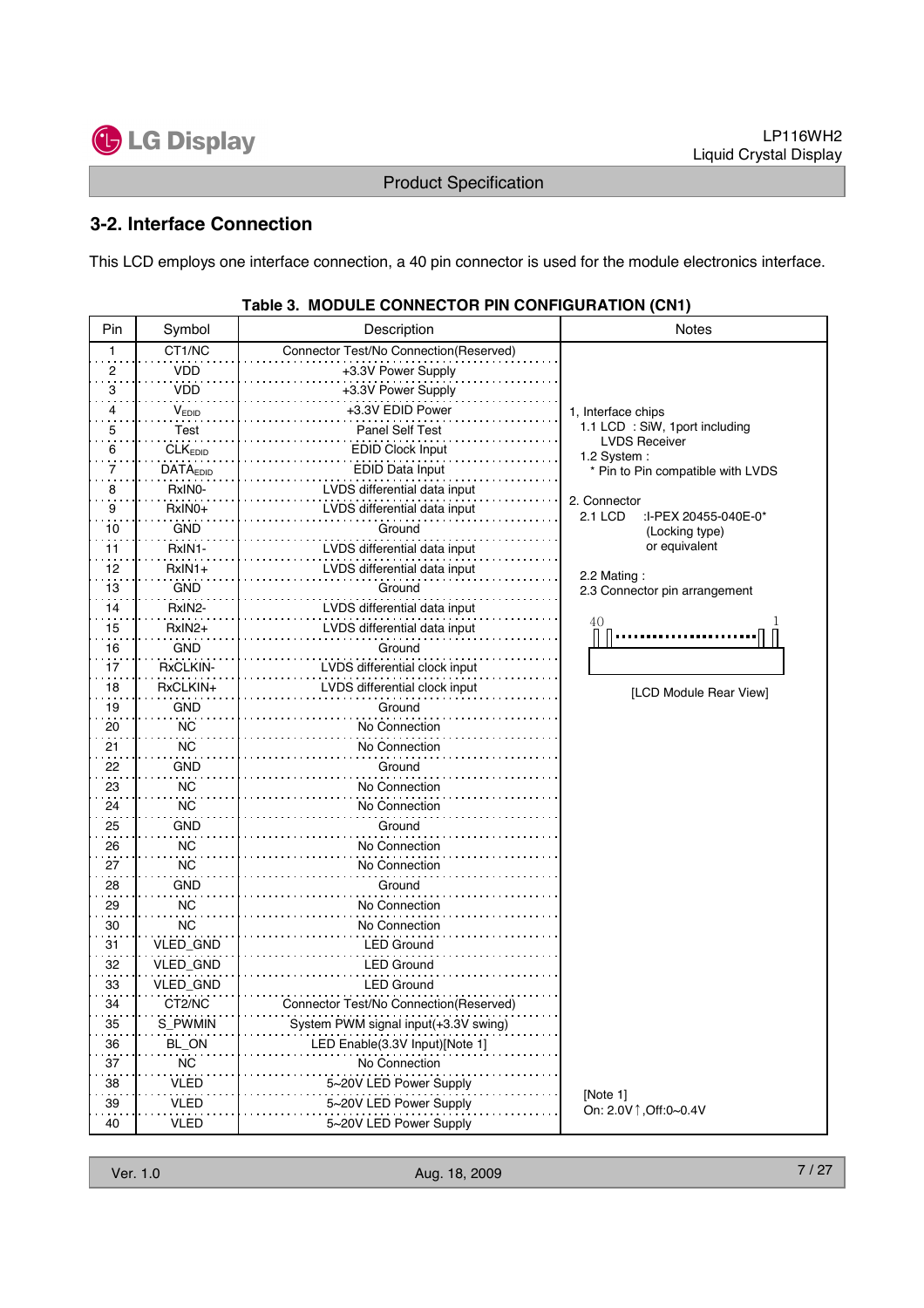

#### **3-2. Interface Connection**

This LCD employs one interface connection, a 40 pin connector is used for the module electronics interface.

| Pin | Symbol              | Description                            | <b>Notes</b>                                           |
|-----|---------------------|----------------------------------------|--------------------------------------------------------|
| 1   | CT1/NC              | Connector Test/No Connection(Reserved) |                                                        |
| 2   | <b>VDD</b>          | +3.3V Power Supply                     |                                                        |
| 3   | <b>VDD</b>          | +3.3V Power Supply                     |                                                        |
| 4   | VEDID               | +3.3V EDID Power                       | 1, Interface chips                                     |
| 5   | <b>Test</b>         | Panel Self Test                        | 1.1 LCD : SiW, 1port including                         |
| 6   | CLK <sub>EDID</sub> | <b>EDID Clock Input</b>                | <b>LVDS Receiver</b><br>1.2 System:                    |
| 7   | <b>DATAEDID</b>     | EDID Data Input                        | * Pin to Pin compatible with LVDS                      |
| 8   | RxINO-              | LVDS differential data input           |                                                        |
| 9   | RxIN0+              | LVDS differential data input           | 2. Connector<br><b>2.1 LCD</b><br>:I-PEX 20455-040E-0* |
| 10  | <b>GND</b>          | Ground                                 | (Locking type)                                         |
| 11  | RxIN1-              | LVDS differential data input           | or equivalent                                          |
| 12  | $RxIN1+$            | LVDS differential data input           | 2.2 Mating:                                            |
| 13  | <b>GND</b>          | Ground                                 | 2.3 Connector pin arrangement                          |
| 14  | RxIN2-              | LVDS differential data input           |                                                        |
| 15  | RxIN2+              | LVDS differential data input           | 40                                                     |
| 16  | <b>GND</b>          | Ground                                 |                                                        |
| 17  | RxCLKIN-            | LVDS differential clock input          |                                                        |
| 18  | RxCLKIN+            | LVDS differential clock input          | [LCD Module Rear View]                                 |
| 19  | <b>GND</b>          | Ground                                 |                                                        |
| 20  | <b>NC</b>           | No Connection                          |                                                        |
| 21  | <b>NC</b>           | No Connection                          |                                                        |
| 22  | <b>GND</b>          | Ground                                 |                                                        |
| 23  | ΝC                  | No Connection                          |                                                        |
| 24  | <b>NC</b>           | No Connection                          |                                                        |
| 25  | GND                 | Ground                                 |                                                        |
| 26  | <b>NC</b>           | No Connection                          |                                                        |
| 27  | <b>NC</b>           | No Connection                          |                                                        |
| 28  | <b>GND</b>          | Ground                                 |                                                        |
| 29  | ΝC                  | No Connection                          |                                                        |
| 30  | NC                  | No Connection                          |                                                        |
| 31  | VLED_GND            | LED Ground                             |                                                        |
| 32  | VLED_GND            | LED Ground                             |                                                        |
| 33  | VLED_GND            | <b>LED Ground</b>                      |                                                        |
| 34  | CT2/NC              | Connector Test/No Connection(Reserved) |                                                        |
| 35  | S_PWMIN             | System PWM signal input(+3.3V swing)   |                                                        |
| 36  | BL_ON               | LED Enable(3.3V Input)[Note 1]         |                                                        |
| 37  | NС                  | No Connection                          |                                                        |
| 38  | <b>VLED</b>         | 5~20V LED Power Supply                 |                                                        |
| 39  | VLED                | 5~20V LED Power Supply                 | [Note 1]<br>On: 2.0V 1, Off: 0~0.4V                    |
| 40  | <b>VLED</b>         | 5~20V LED Power Supply                 |                                                        |

#### **Table 3. MODULE CONNECTOR PIN CONFIGURATION (CN1)**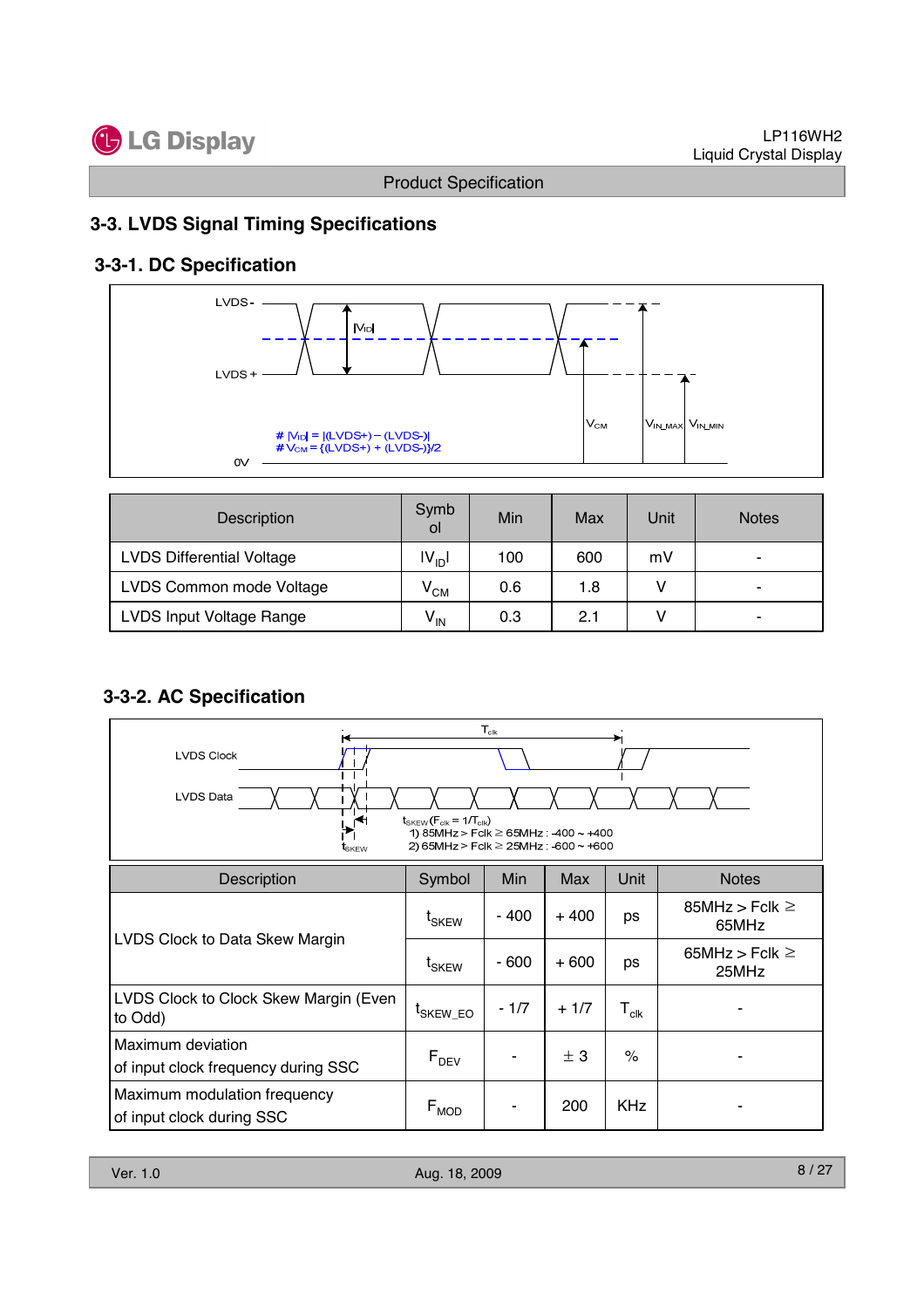

## **3-3. LVDS Signal Timing Specifications**

## **3-3-1. DC Specification**



| <b>Description</b>               | Symb<br>οl        | Min | Max | Unit | <b>Notes</b>             |
|----------------------------------|-------------------|-----|-----|------|--------------------------|
| <b>LVDS Differential Voltage</b> | $ V_{\text{ID}} $ | 100 | 600 | mV   | $\overline{\phantom{a}}$ |
| LVDS Common mode Voltage         | $V_{CM}$          | 0.6 | 1.8 |      | ۰                        |
| LVDS Input Voltage Range         | $V_{\text{IN}}$   | 0.3 | 2.1 |      | ۰                        |

## **3-3-2. AC Specification**

| $T_{\mathsf{clk}}$<br><b>LVDS Clock</b><br><b>LVDS Data</b><br>$t_{SKEW}$ ( $F_{clk}$ = 1/ $T_{clk}$ )<br>∩<br>1) 85MHz > Fclk $\geq$ 65MHz : -400 ~ +400<br>2) 65MHz > Fclk $\geq$ 25MHz : -600 $\sim$ +600<br>tskew |                              |        |        |                             |                                |  |  |  |
|-----------------------------------------------------------------------------------------------------------------------------------------------------------------------------------------------------------------------|------------------------------|--------|--------|-----------------------------|--------------------------------|--|--|--|
| Description                                                                                                                                                                                                           | Symbol                       | Min    | Max    | Unit                        | <b>Notes</b>                   |  |  |  |
|                                                                                                                                                                                                                       | t <sub>SKEW</sub>            | - 400  | $+400$ | ps                          | 85MHz > Fclk $\geq$<br>65MHz   |  |  |  |
| LVDS Clock to Data Skew Margin                                                                                                                                                                                        | $\mathsf{t}_{\mathsf{SKEW}}$ | - 600  | $+600$ | ps                          | 65MHz $>$ Fclk $\geq$<br>25MHz |  |  |  |
| LVDS Clock to Clock Skew Margin (Even<br>to Odd)                                                                                                                                                                      | <sup>L</sup> SKEW EO         | $-1/7$ | $+1/7$ | $\mathsf{T}_{\mathsf{clk}}$ |                                |  |  |  |
| Maximum deviation<br>of input clock frequency during SSC                                                                                                                                                              | $F_{DEV}$                    |        | ± 3    | $\frac{1}{2}$               |                                |  |  |  |
| Maximum modulation frequency<br>of input clock during SSC                                                                                                                                                             | $F_{MOD}$                    |        | 200    | <b>KHz</b>                  |                                |  |  |  |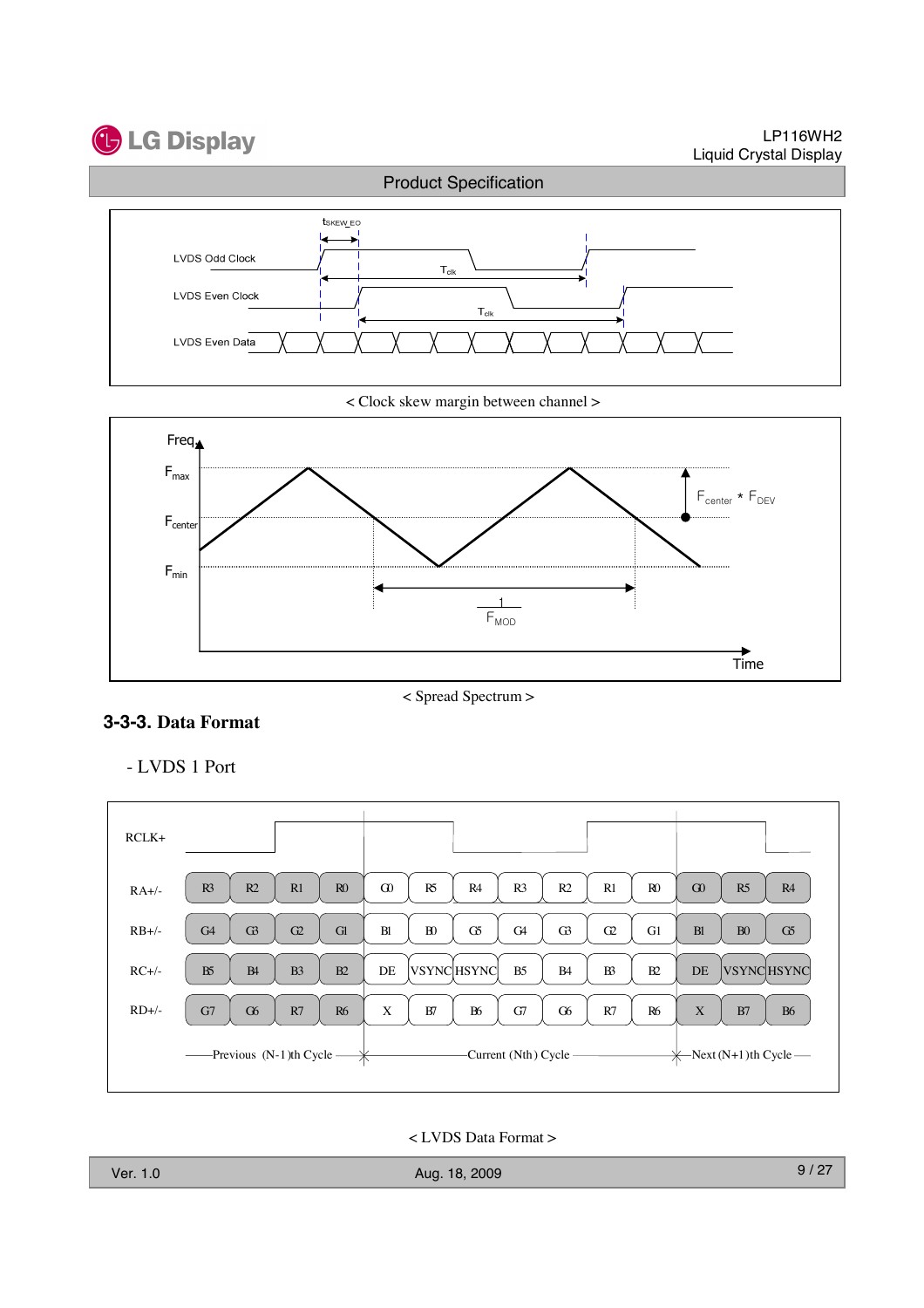

LP116WH2 Liquid Crystal Display



< Clock skew margin between channel >



< Spread Spectrum >

#### **3-3-3. Data Format**

- LVDS 1 Port



< LVDS Data Format >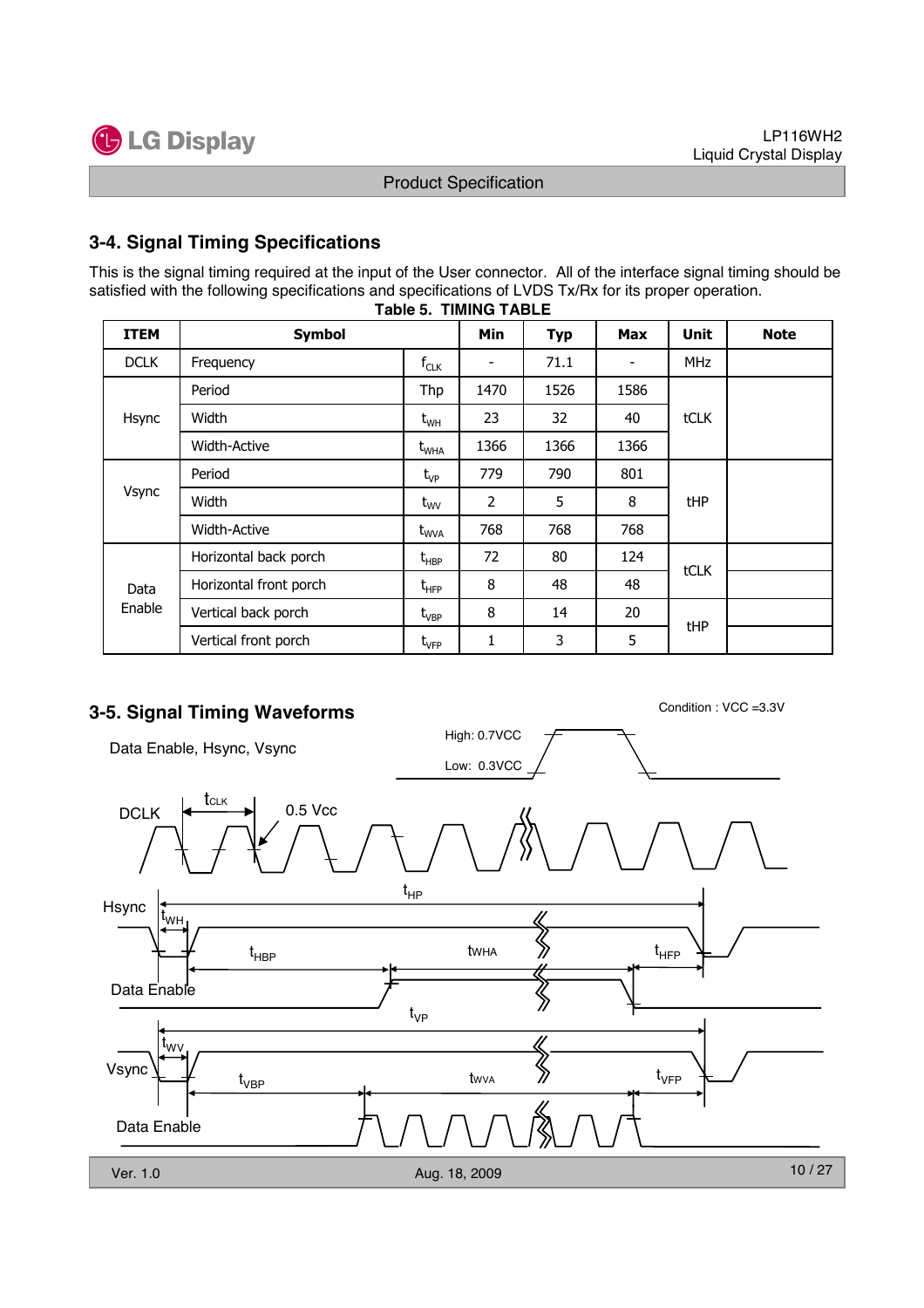

### **3-4. Signal Timing Specifications**

**Table 5. TIMING TABLE** This is the signal timing required at the input of the User connector. All of the interface signal timing should be satisfied with the following specifications and specifications of LVDS Tx/Rx for its proper operation.

| <b>ITEM</b>    | <b>Symbol</b>          |                                               | Min                      | <b>Typ</b> | <b>Max</b>               | <b>Unit</b> | <b>Note</b> |
|----------------|------------------------|-----------------------------------------------|--------------------------|------------|--------------------------|-------------|-------------|
| <b>DCLK</b>    | Frequency              | $f_{CLK}$                                     | $\overline{\phantom{a}}$ | 71.1       | $\overline{\phantom{a}}$ | <b>MHz</b>  |             |
|                | Period                 | Thp                                           | 1470                     | 1526       | 1586                     |             |             |
| Hsync          | Width                  | $\rm t_{\rm WH}$                              | 23                       | 32         | 40                       | tCLK        |             |
|                | <b>Width-Active</b>    | $t_{\text{WHA}}$                              | 1366                     | 1366       | 1366                     |             |             |
| Vsync          | Period                 | $t_{VP}$                                      | 779                      | 790        | 801                      |             |             |
|                | Width                  | $t_{\text{wV}}$                               | 2                        | 5          | 8                        | tHP         |             |
|                | <b>Width-Active</b>    | $t_{\text{WVA}}$                              | 768                      | 768        | 768                      |             |             |
|                | Horizontal back porch  | $t_{\sf HBP}$                                 | 72                       | 80         | 124                      | tCLK        |             |
| Data<br>Enable | Horizontal front porch | $\mathsf{t}_{\mathsf{H}\mathsf{F}\mathsf{P}}$ | 8                        | 48         | 48                       |             |             |
|                | Vertical back porch    | $t_{\rm VBP}$                                 | 8                        | 14         | 20                       |             |             |
|                | Vertical front porch   | $t_{\rm VFP}$                                 | 1                        | 3          | 5                        | tHP         |             |

## **3-5. Signal Timing Waveforms** Condition : VCC =3.3V

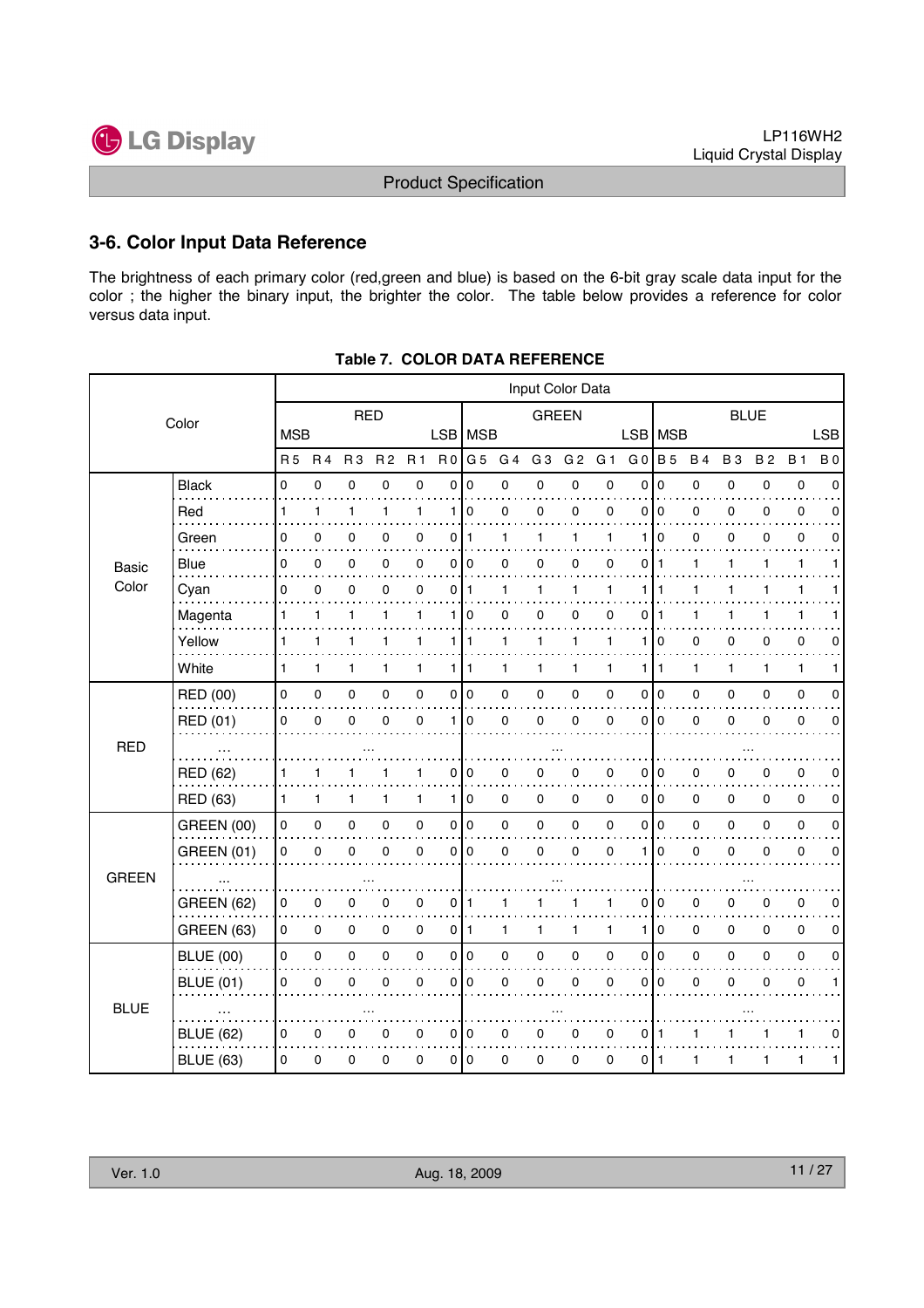

#### **3-6. Color Input Data Reference**

The brightness of each primary color (red,green and blue) is based on the 6-bit gray scale data input for the color ; the higher the binary input, the brighter the color. The table below provides a reference for color versus data input.

|              | Input Color Data  |              |              |                |                |                     |                |              |              |                |                |                |                |                 |           |             |           |              |             |
|--------------|-------------------|--------------|--------------|----------------|----------------|---------------------|----------------|--------------|--------------|----------------|----------------|----------------|----------------|-----------------|-----------|-------------|-----------|--------------|-------------|
|              | Color             |              |              | <b>RED</b>     |                |                     |                |              |              | <b>GREEN</b>   |                |                |                |                 |           | <b>BLUE</b> |           |              |             |
|              |                   | <b>MSB</b>   |              |                |                |                     |                | LSB   MSB    |              |                |                |                | <b>LSB</b>     | <b>MSB</b>      |           |             |           |              | <b>LSB</b>  |
|              |                   | <b>R5</b>    | <b>R4</b>    | R <sub>3</sub> | R <sub>2</sub> | <b>R1</b>           | R <sub>0</sub> | G 5          | G 4          | G <sub>3</sub> | G <sub>2</sub> | G <sub>1</sub> | G <sub>0</sub> | <b>B</b> 5      | <b>B4</b> | <b>B3</b>   | <b>B2</b> | <b>B</b> 1   | <b>B</b> 0  |
|              | <b>Black</b>      | 0            | 0            | $\pmb{0}$      | 0              | 0                   | 0              | 0            | 0            | $\pmb{0}$      | 0              | $\mathbf 0$    | 0              | $\mathbf 0$     | 0         | 0           | 0         | $\pmb{0}$    | $\mathbf 0$ |
|              | Red               | 1            | $\mathbf{1}$ | 1              | 1              | $\mathbf{1}$        | 1              | $\mathbf 0$  | 0            | 0              | 0              | $\mathbf 0$    | 0              | 0               | 0         | 0           | 0         | 0            | 0           |
|              | Green             | 0            | 0            | 0              | 0              | 0                   | 0              | $\mathbf{1}$ | 1            | 1              | 1              | 1              | 1              | $\Omega$        | 0         | 0           | 0         | $\mathbf 0$  | 0           |
| <b>Basic</b> | Blue              | 0            | 0            | 0              | 0              | 0                   | 0              | l O          | 0            | 0              | 0              | $\mathbf 0$    | 0              | 1               | 1         | 1           | 1         | $\mathbf{1}$ | 1           |
| Color        | Cyan              | 0            | 0            | 0              | 0              | 0                   | 0              | 1            | 1            | 1              | 1              | 1              | 1              |                 | 1         | 1           | 1         | 1            |             |
|              | Magenta           | 1            | 1            | 1              | 1              | $\mathbf{1}$        | 1              | $\mathbf 0$  | 0            | 0              | 0              | 0              | 0              | 1               | 1         | 1           | 1         | 1            |             |
|              | Yellow            | 1            | 1            | 1              | 1              | $\mathbf{1}$        |                | 1   1        | 1            | 1              | 1              | 1              | 1              | 0               | 0         | 0           | 0         | 0            | 0           |
|              | White             | $\mathbf{1}$ | 1            | 1              | 1              | $\mathbf{1}$        |                | 1   1        | 1            | 1              | 1              | $\mathbf{1}$   | 1.             | $\overline{1}$  | 1         | 1           | 1         | $\mathbf{1}$ | 1           |
|              | <b>RED (00)</b>   | 0            | 0            | $\pmb{0}$      | 0              | $\pmb{0}$           |                | 0 0          | 0            | 0              | 0              | 0              | 0              | I٥              | 0         | 0           | 0         | $\mathbf 0$  | 0           |
|              | RED (01)          | 0            | 0            | 0              | 0              | $\mathbf 0$         | 1 <sup>1</sup> | $\mathbf 0$  | 0            | 0              | 0              | $\mathbf 0$    | 0              | $\mathbf 0$     | 0         | 0           | 0         | 0            | 0           |
| <b>RED</b>   |                   |              |              |                |                |                     |                |              |              |                |                |                |                |                 |           |             |           |              |             |
|              | RED (62)          | 1            | 1            | 1              |                | 1                   | 0              | 0            | 0            | 0              | 0              | 0              | 0              | 0               | 0         | 0           | 0         | 0            | 0           |
|              | RED (63)          | 1.           | 1            | 1              | 1              | $\mathbf{1}$        |                | 1 0          | 0            | 0              | 0              | 0              |                | 0 <sup>10</sup> | 0         | 0           | 0         | 0            | 0           |
|              | <b>GREEN (00)</b> | 0            | 0            | $\pmb{0}$      | 0              | $\pmb{0}$           |                | 0 0          | 0            | 0              | $\pmb{0}$      | 0              | 0              | I٥              | 0         | 0           | 0         | $\pmb{0}$    | $\mathbf 0$ |
|              | <b>GREEN (01)</b> | 0            | $\mathbf 0$  | $\mathsf 0$    | 0              | 0                   | $\overline{0}$ | 0            | 0            | 0              | $\mathsf 0$    | $\mathbf 0$    | 1              | $\mathbf 0$     | 0         | 0           | 0         | 0            | 0           |
| <b>GREEN</b> |                   |              |              |                |                |                     |                |              |              |                |                |                |                |                 |           |             |           |              |             |
|              | <b>GREEN (62)</b> | 0            | 0            | 0              | 0              | 0                   | 0              | -1           | 1            |                | 1              | 1              | 0              | 0               | 0         | 0           | 0         | 0            | 0           |
|              | <b>GREEN (63)</b> | 0            | 0            | $\mathbf 0$    | 0              | 0                   | 0 I            | $\mathbf{1}$ | $\mathbf{1}$ | 1              | 1              | 1              | 1              | $\mathbf 0$     | 0         | 0           | 0         | $\mathbf 0$  | 0           |
| <b>BLUE</b>  | <b>BLUE (00)</b>  | 0            | 0            | $\pmb{0}$      | 0              | $\mathsf{O}\xspace$ |                | 0 0          | 0            | $\mathbf 0$    | $\pmb{0}$      | 0              | 0              | I٥              | 0         | 0           | 0         | $\pmb{0}$    | 0           |
|              | <b>BLUE (01)</b>  | 0            | $\mathbf 0$  | $\pmb{0}$      | 0              | $\mathsf 0$         | 0              | $\mathbf 0$  | 0            | $\pmb{0}$      | $\mathsf 0$    | 0              | 0              | $\mathbf 0$     | 0         | 0           | 0         | $\pmb{0}$    | 1           |
|              |                   |              |              |                |                |                     |                |              |              |                |                |                |                |                 |           |             |           |              |             |
|              | <b>BLUE (62)</b>  | 0            | 0            | 0              | 0              | 0                   |                | 0 0          | 0            | 0              | 0              | 0              | 0              | -1              | 1         |             | 1         | 1            | 0           |
|              | <b>BLUE (63)</b>  | 0            | 0            | 0              | 0              | 0                   |                | 010          | 0            | 0              | 0              | 0              | 0              | ∣ 1             | 1         | 1           | 1         | 1            | 1           |

**Table 7. COLOR DATA REFERENCE**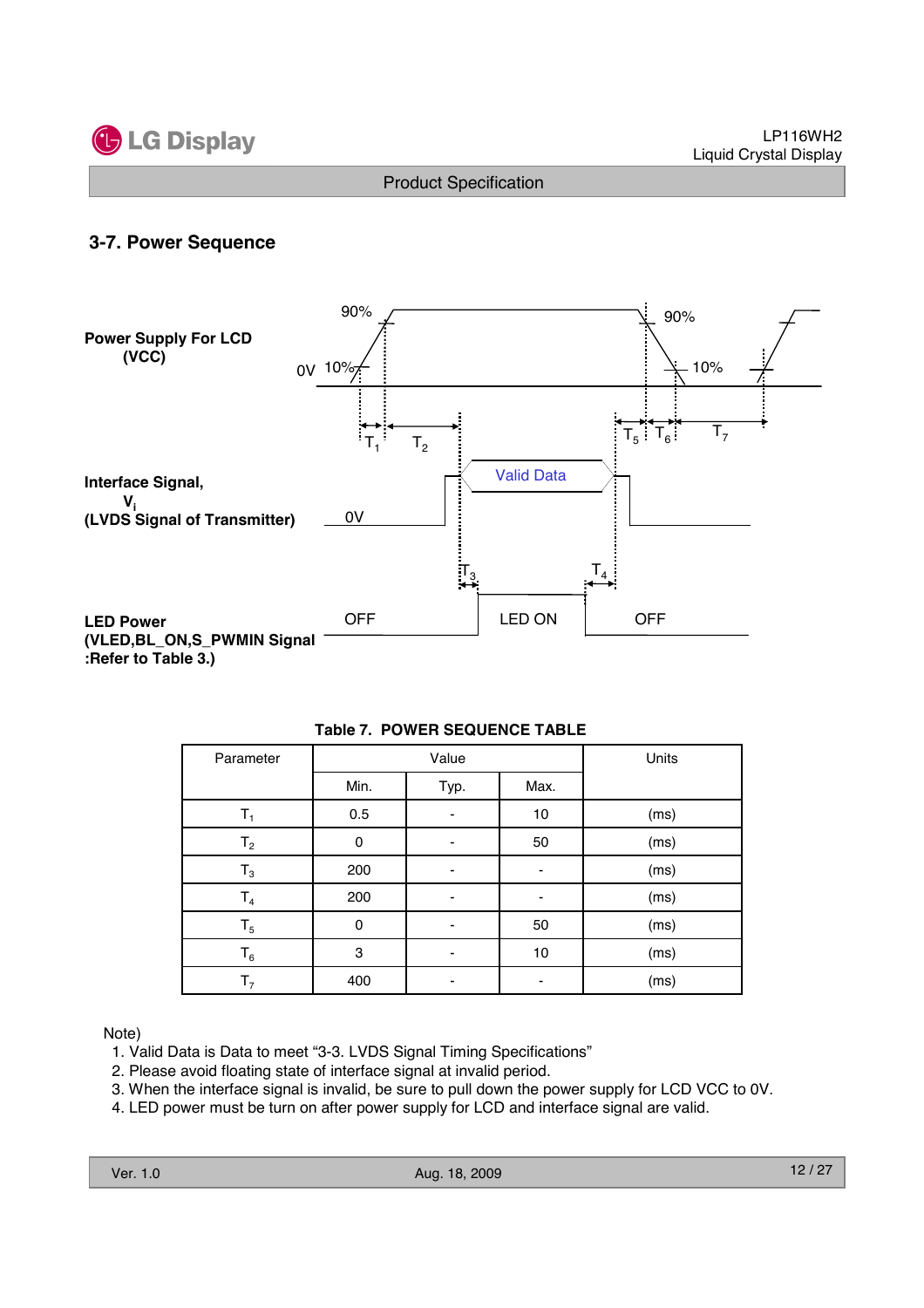

#### **3-7. Power Sequence**



| Parameter      |             | Value | Units |      |  |
|----------------|-------------|-------|-------|------|--|
|                | Min.        | Typ.  | Max.  |      |  |
| т,             | 0.5         |       | 10    | (ms) |  |
| $T_{2}$        | 0           |       | 50    | (ms) |  |
| $T_3$          | 200         |       |       | (ms) |  |
| $\mathsf{T}_4$ | 200         |       |       | (ms) |  |
| $T_5$          | $\mathbf 0$ |       | 50    | (ms) |  |
| $T_6$          | 3           |       | 10    | (ms) |  |
| $\mathsf{T}_7$ | 400         |       |       | (ms) |  |

#### **Table 7. POWER SEQUENCE TABLE**

Note)

- 1. Valid Data is Data to meet "3-3. LVDS Signal Timing Specifications"
- 2. Please avoid floating state of interface signal at invalid period.
- 3. When the interface signal is invalid, be sure to pull down the power supply for LCD VCC to 0V.
- 4. LED power must be turn on after power supply for LCD and interface signal are valid.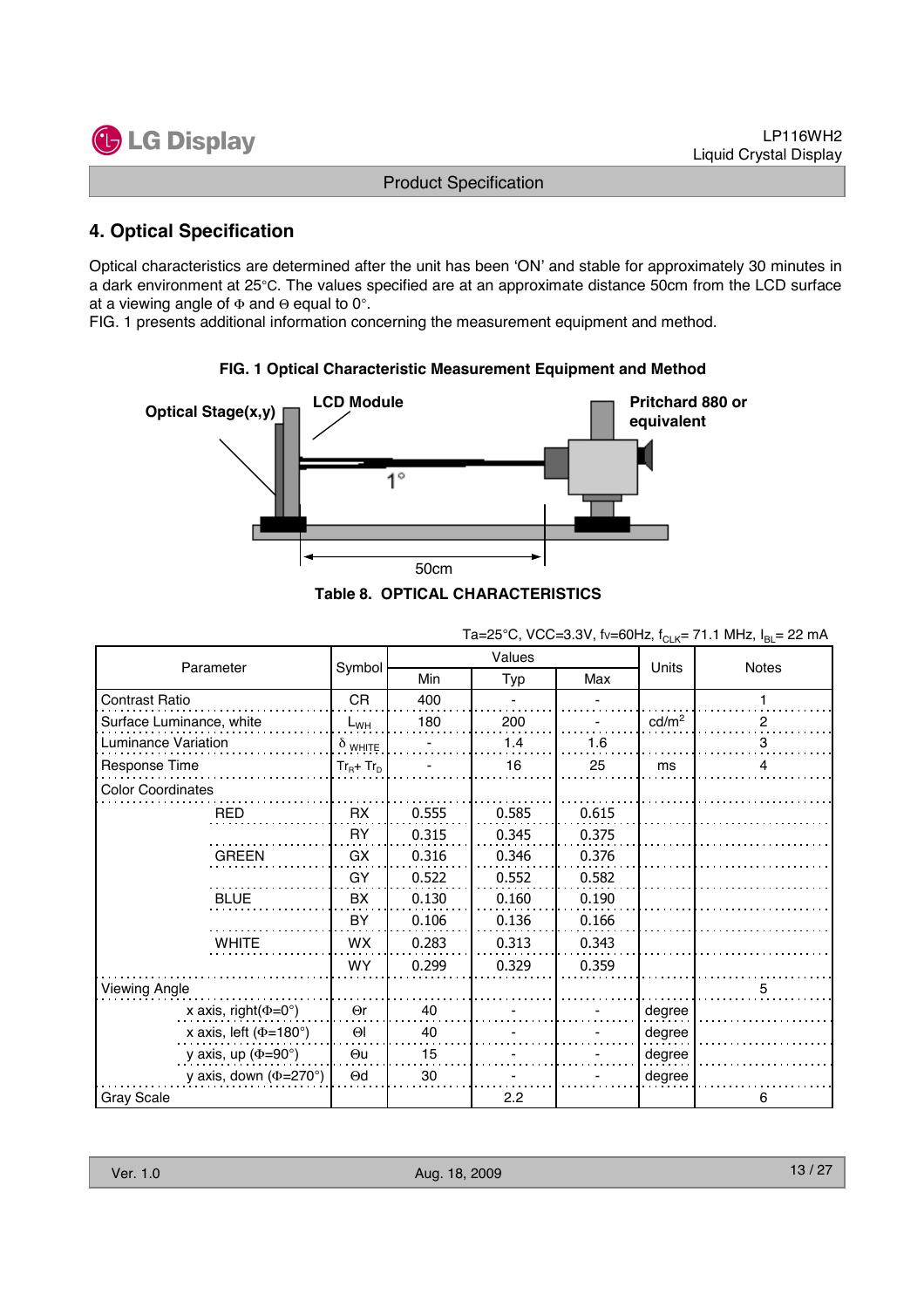

## **4. Optical Specification**

Optical characteristics are determined after the unit has been 'ON' and stable for approximately 30 minutes in a dark environment at 25°C. The values specified are at an approximate distance 50cm from the LCD surface at a viewing angle of  $\Phi$  and  $\Theta$  equal to 0°.

FIG. 1 presents additional information concerning the measurement equipment and method.



# **FIG. 1 Optical Characteristic Measurement Equipment and Method**

| Table 8.  OPTICAL CHARACTERISTICS |  |
|-----------------------------------|--|
|-----------------------------------|--|

|                                   |                |            | Values | <b>ULIV</b> | ם י               |              |  |
|-----------------------------------|----------------|------------|--------|-------------|-------------------|--------------|--|
| Parameter                         | Symbol         | <b>Min</b> | Typ    | Max         | Units             | Notes        |  |
| Contrast Ratio                    | CR             | 400        |        |             |                   |              |  |
| Surface Luminance, white          | $L_{WH}$       | 180        | 200    |             | cd/m <sup>2</sup> | $\mathbf{2}$ |  |
| <b>Luminance Variation</b>        | $\delta$ white |            | 1.4    | 1.6         |                   | 3            |  |
| Response Time                     | $Tr_B + Tr_D$  |            | 16     | 25          | ms                | 4            |  |
| <b>Color Coordinates</b>          |                |            |        |             |                   |              |  |
| <b>RED</b>                        | <b>RX</b>      | 0.555      | 0.585  | 0.615       |                   |              |  |
|                                   | <b>RY</b>      | 0.315      | 0.345  | 0.375       |                   |              |  |
| <b>GREEN</b>                      | GX             | 0.316      | 0.346  | 0.376       |                   |              |  |
|                                   | GY             | 0.522      | 0.552  | 0.582       |                   |              |  |
| <b>BLUE</b>                       | BX             | 0.130      | 0.160  | 0.190       |                   |              |  |
|                                   | BY             | 0.106      | 0.136  | 0.166       |                   |              |  |
| <b>WHITE</b>                      | WX             | 0.283      | 0.313  | 0.343       |                   |              |  |
|                                   | <b>WY</b>      | 0.299      | 0.329  | 0.359       |                   |              |  |
| Viewing Angle                     |                |            |        |             |                   | 5            |  |
| x axis, right( $\Phi$ =0°)        | $\Theta$ r     | 40         |        |             | degree            |              |  |
| x axis, left ( $\Phi$ =180°)      | $\Theta$       | 40         |        |             | degree            |              |  |
| y axis, up $(\Phi = 90^\circ)$    | $\Theta$ u     | 15         |        |             | degree            |              |  |
| y axis, down $(\Phi = 270^\circ)$ | $\Theta$ d     | 30         |        |             | degree            |              |  |
| <b>Gray Scale</b>                 |                |            | 2.2    |             |                   | 6            |  |

Ta=25°C, VCC=3.3V, fv=60Hz,  $f_{\text{Cl K}}$ = 71.1 MHz,  $I_{\text{BI}}$  = 22 mA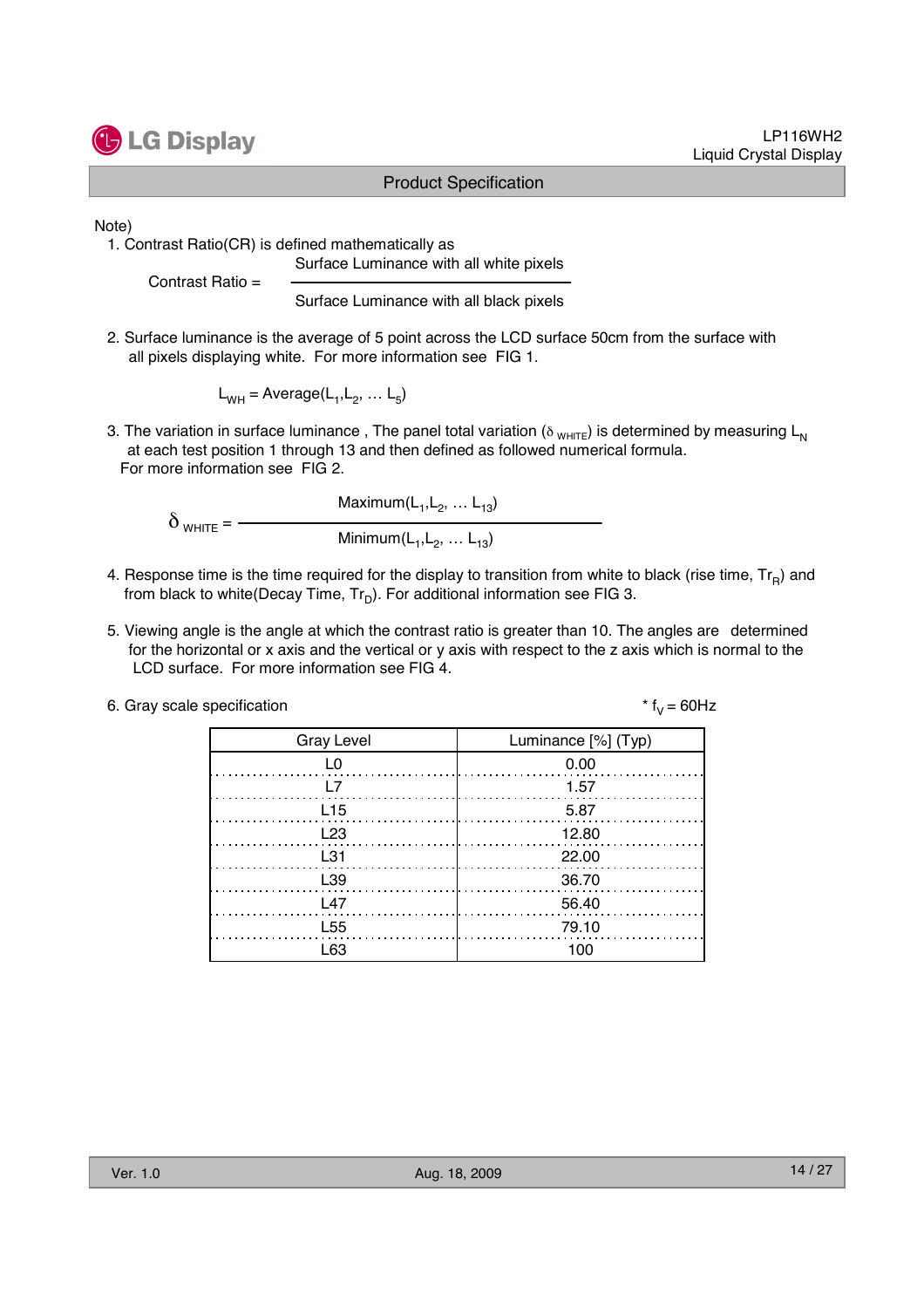

#### LP116WH2 Liquid Crystal Display

#### Product Specification

Note)

1. Contrast Ratio(CR) is defined mathematically as Surface Luminance with all white pixels

Contrast Ratio =

Surface Luminance with all black pixels

2. Surface luminance is the average of 5 point across the LCD surface 50cm from the surface with all pixels displaying white. For more information see FIG 1.

 $L_{WH}$  = Average( $L_1, L_2, ... L_5$ )

3. The variation in surface luminance, The panel total variation ( $\delta_{WHTE}$ ) is determined by measuring L<sub>N</sub> at each test position 1 through 13 and then defined as followed numerical formula. For more information see FIG 2.

Maximum $(L_1, L_2, ... L_{13})$  $\delta$  <sub>WHITE</sub> =  $-$ Minimum( $L_1, L_2, ... L_{13}$ )

- 4. Response time is the time required for the display to transition from white to black (rise time,  $Tr_B$ ) and from black to white(Decay Time,  $Tr_D$ ). For additional information see FIG 3.
- 5. Viewing angle is the angle at which the contrast ratio is greater than 10. The angles are determined for the horizontal or x axis and the vertical or y axis with respect to the z axis which is normal to the LCD surface. For more information see FIG 4.

| 6. Gray scale specification | * $f_v = 60$ Hz |
|-----------------------------|-----------------|
|-----------------------------|-----------------|

| <b>Gray Level</b> | Luminance [%] (Typ) |
|-------------------|---------------------|
| L0                | 0.00                |
|                   | 1.57                |
| L <sub>15</sub>   | -5.87               |
| L23               | 12.80               |
| $\pm$ 31          | 22.00               |
| L39               | 36.70               |
| L <sub>47</sub>   | 56.40               |
| L <sub>55</sub>   | 79.10               |
| l 63              | 1 ሰበ                |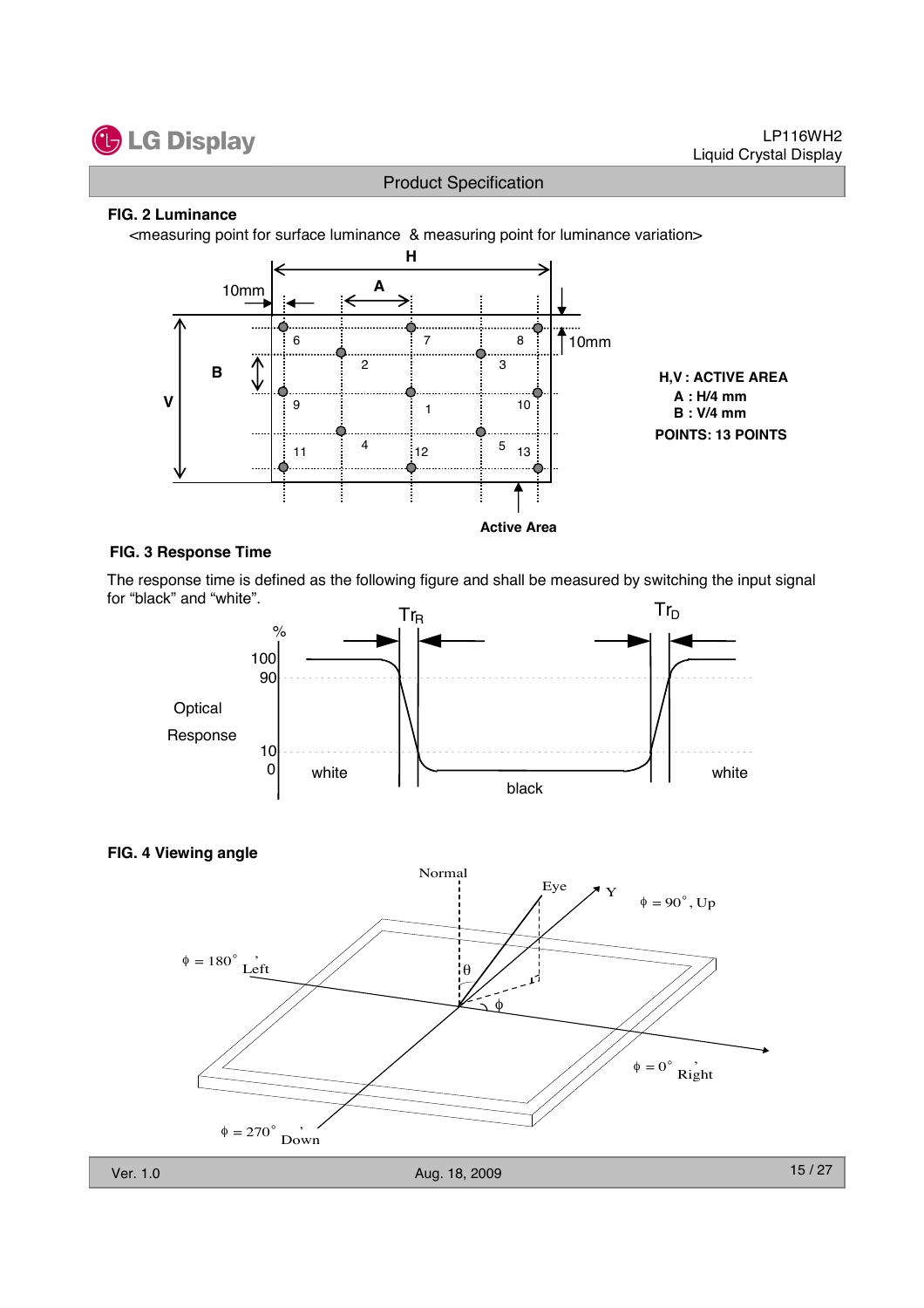

#### **FIG. 2 Luminance**

<measuring point for surface luminance & measuring point for luminance variation>



#### **FIG. 3 Response Time**

The response time is defined as the following figure and shall be measured by switching the input signal for "black" and "white".





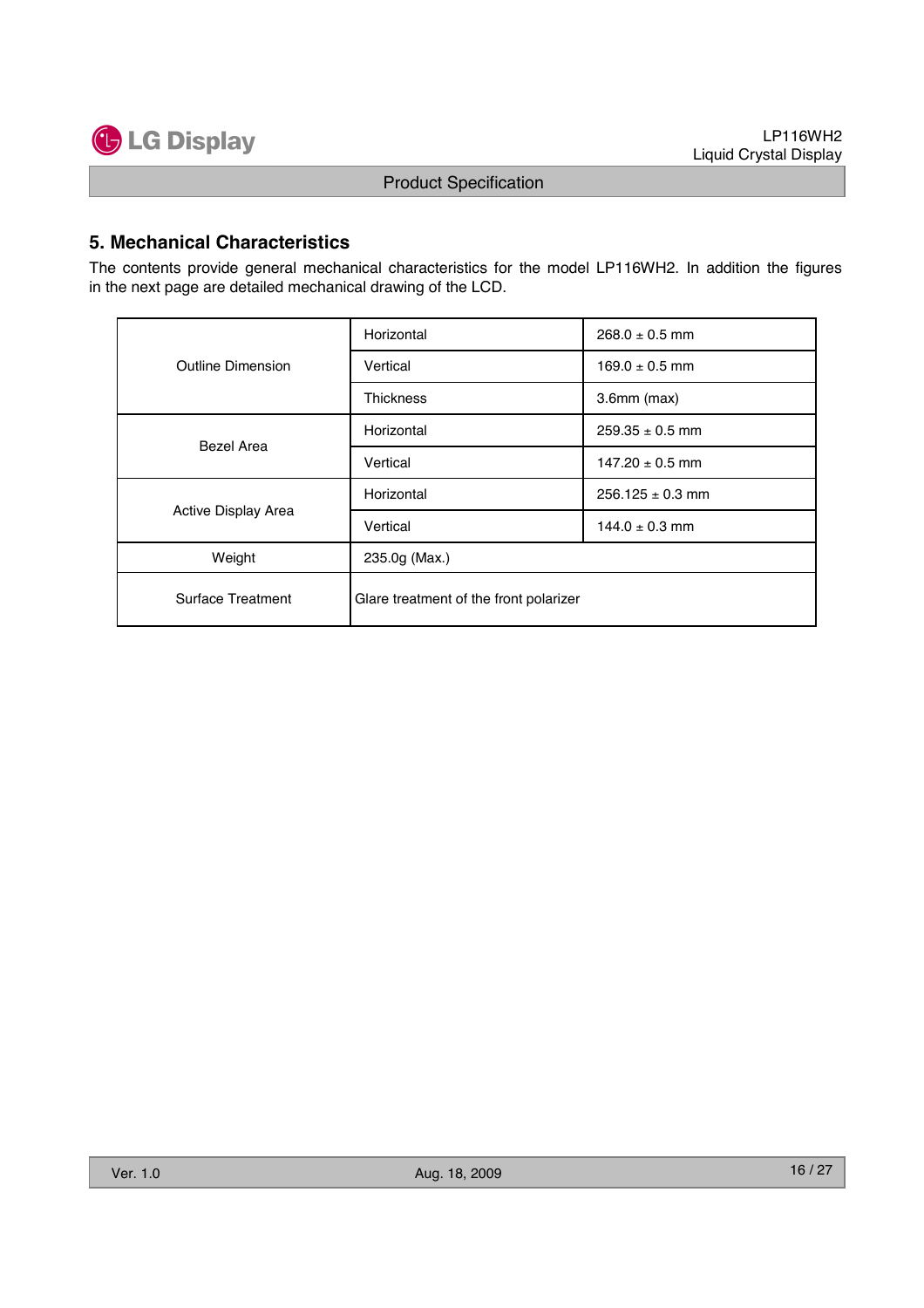

### **5. Mechanical Characteristics**

The contents provide general mechanical characteristics for the model LP116WH2. In addition the figures in the next page are detailed mechanical drawing of the LCD.

|                                                                    | Horizontal       | $268.0 \pm 0.5$ mm   |  |  |  |
|--------------------------------------------------------------------|------------------|----------------------|--|--|--|
| Outline Dimension                                                  | Vertical         | $169.0 \pm 0.5$ mm   |  |  |  |
|                                                                    | <b>Thickness</b> | $3.6$ mm $(max)$     |  |  |  |
| <b>Bezel Area</b>                                                  | Horizontal       | $259.35 \pm 0.5$ mm  |  |  |  |
|                                                                    | Vertical         | $147.20 \pm 0.5$ mm  |  |  |  |
|                                                                    | Horizontal       | $256.125 \pm 0.3$ mm |  |  |  |
| Active Display Area                                                | Vertical         | $144.0 \pm 0.3$ mm   |  |  |  |
| Weight                                                             | 235.0g (Max.)    |                      |  |  |  |
| <b>Surface Treatment</b><br>Glare treatment of the front polarizer |                  |                      |  |  |  |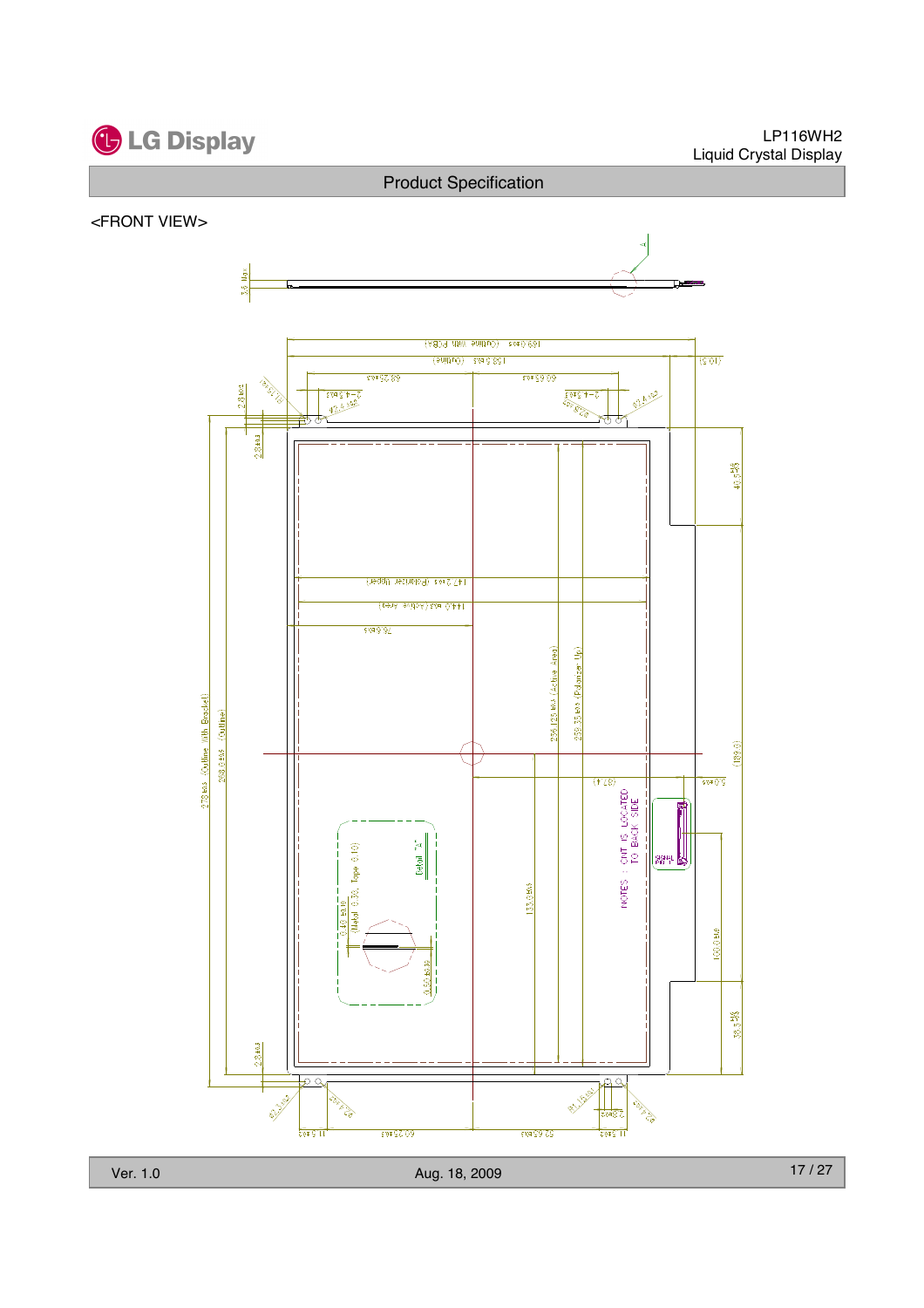# **C** LG Display

#### LP116WH2 Liquid Crystal Display

#### Product Specification

#### <FRONT VIEW>



Ver. 1.0 Aug. 18, 2009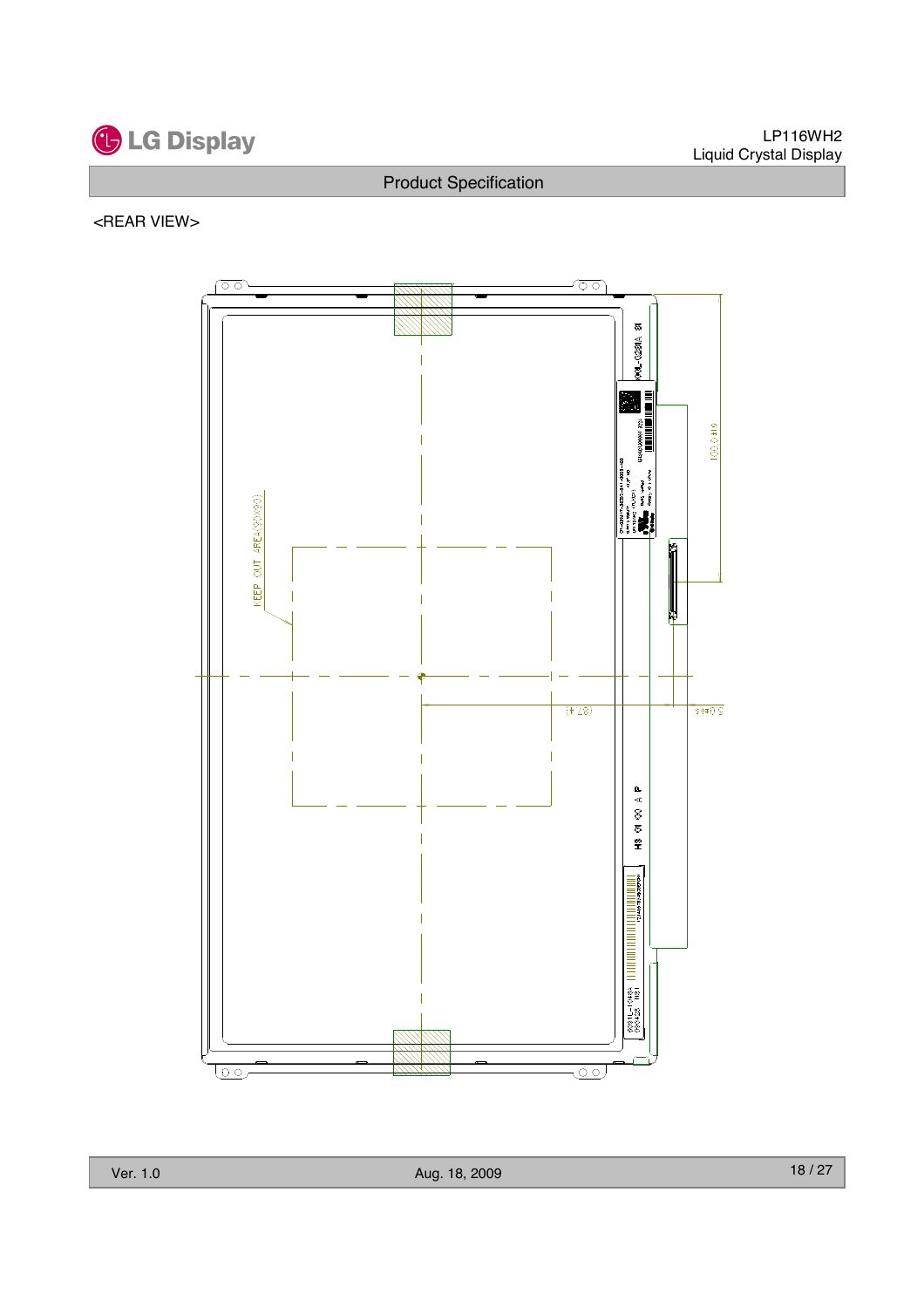

#### <REAR VIEW>

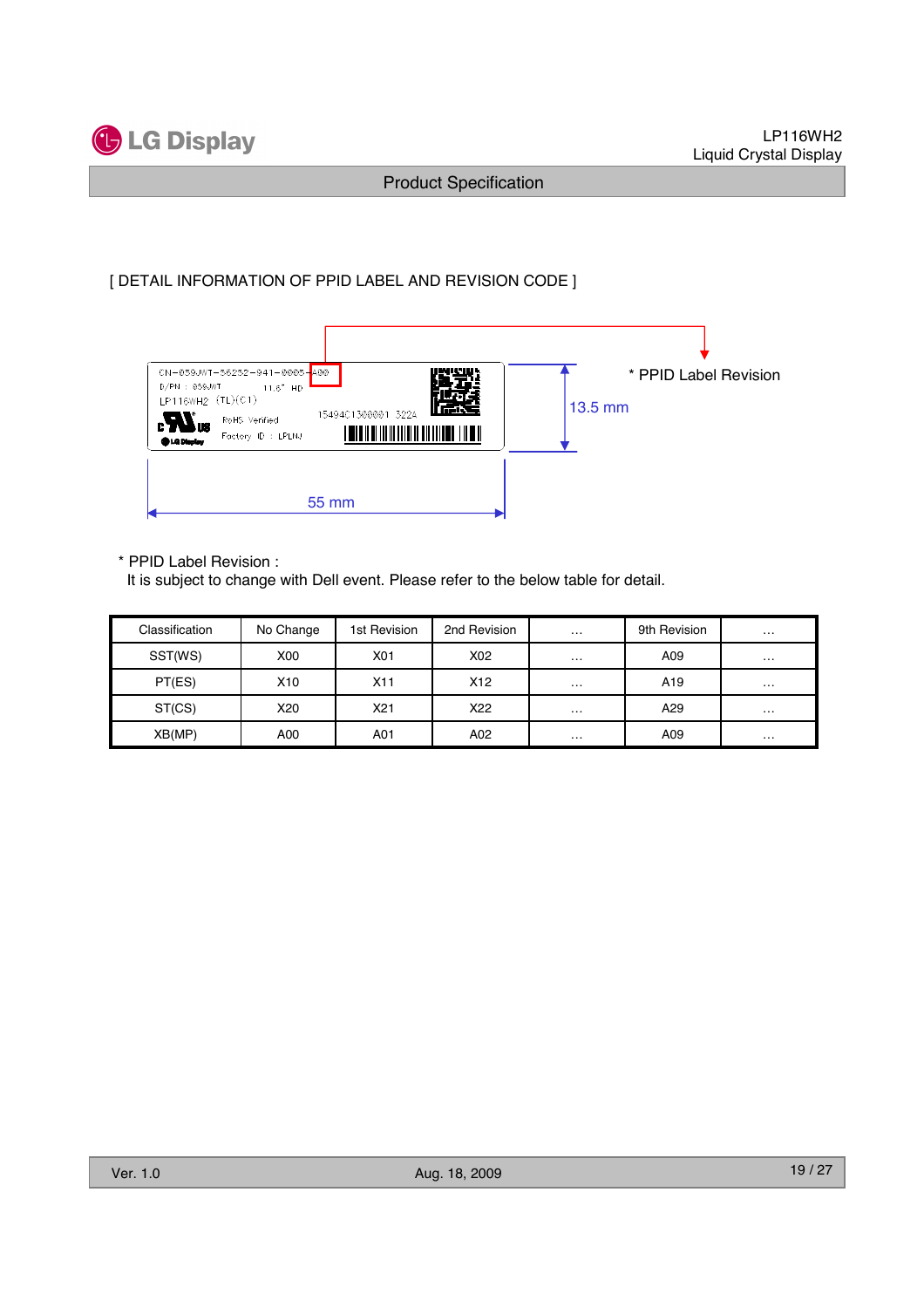

#### [ DETAIL INFORMATION OF PPID LABEL AND REVISION CODE ]

| CN-059JWT-56252-941-0005-A00<br>$D/PN$ : 059JWT<br>11.6" HD<br>LP116WH2 (TL)(C1)                                    | * PPID Label Revision |
|---------------------------------------------------------------------------------------------------------------------|-----------------------|
| 15494C1300001 322A<br>$\boldsymbol{\boldsymbol{H}}$ us<br>RoHS Verified<br>Factory ID : LPLNJ<br><b>Bid Display</b> | $13.5$ mm             |
|                                                                                                                     |                       |
| 55 mm                                                                                                               |                       |

\* PPID Label Revision :

It is subject to change with Dell event. Please refer to the below table for detail.

| Classification | No Change | 1st Revision | 2nd Revision    | $\sim$ $\sim$ $\sim$ | 9th Revision    | $\cdots$ |
|----------------|-----------|--------------|-----------------|----------------------|-----------------|----------|
| SST(WS)        | X00       | X01          | X02             | $\cdots$             | A09             | $\cdots$ |
| PT(ES)         | X10       | X11          | X <sub>12</sub> | $\cdots$             | A <sub>19</sub> | $\cdots$ |
| ST(CS)         | X20       | X21          | X22             | $\cdots$             | A29             | $\cdots$ |
| XB(MP)         | A00       | A01          | A02             | $\cdots$             | A09             | $\cdots$ |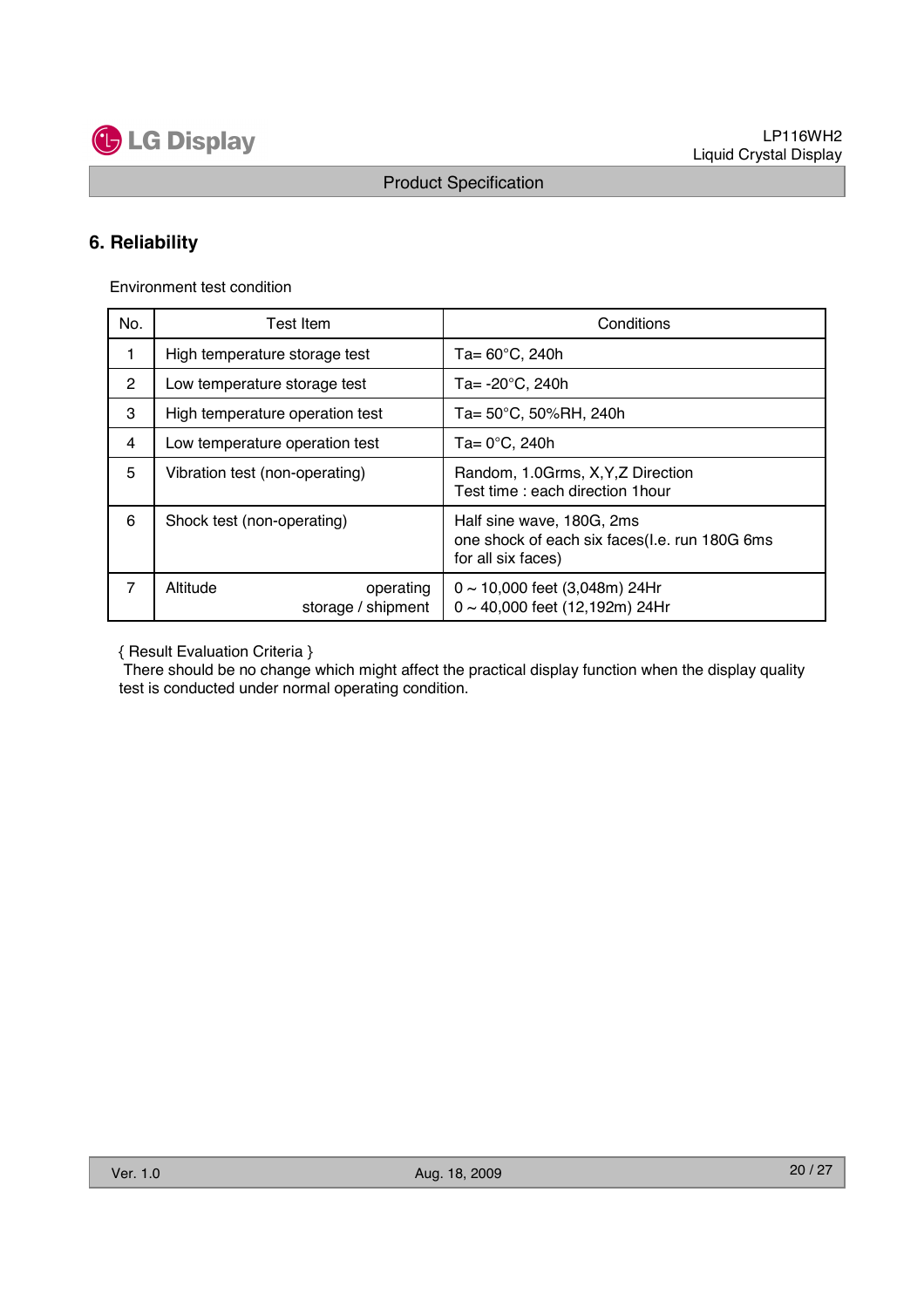

## **6. Reliability**

Environment test condition

| No.            | <b>Test Item</b>                            | Conditions                                                                                       |
|----------------|---------------------------------------------|--------------------------------------------------------------------------------------------------|
| 1.             | High temperature storage test               | Ta= $60^{\circ}$ C, 240h                                                                         |
| 2              | Low temperature storage test                | Ta= $-20^{\circ}$ C, 240h                                                                        |
| 3              | High temperature operation test             | Ta= 50°C, 50%RH, 240h                                                                            |
| 4              | Low temperature operation test              | $Ta = 0^{\circ}C$ , 240h                                                                         |
| 5              | Vibration test (non-operating)              | Random, 1.0Grms, X, Y, Z Direction<br>Test time: each direction 1 hour                           |
| 6              | Shock test (non-operating)                  | Half sine wave, 180G, 2ms<br>one shock of each six faces(I.e. run 180G 6ms<br>for all six faces) |
| $\overline{7}$ | Altitude<br>operating<br>storage / shipment | $0 \sim 10,000$ feet (3,048m) 24Hr<br>$0 \sim 40,000$ feet (12,192m) 24Hr                        |

{ Result Evaluation Criteria }

There should be no change which might affect the practical display function when the display quality test is conducted under normal operating condition.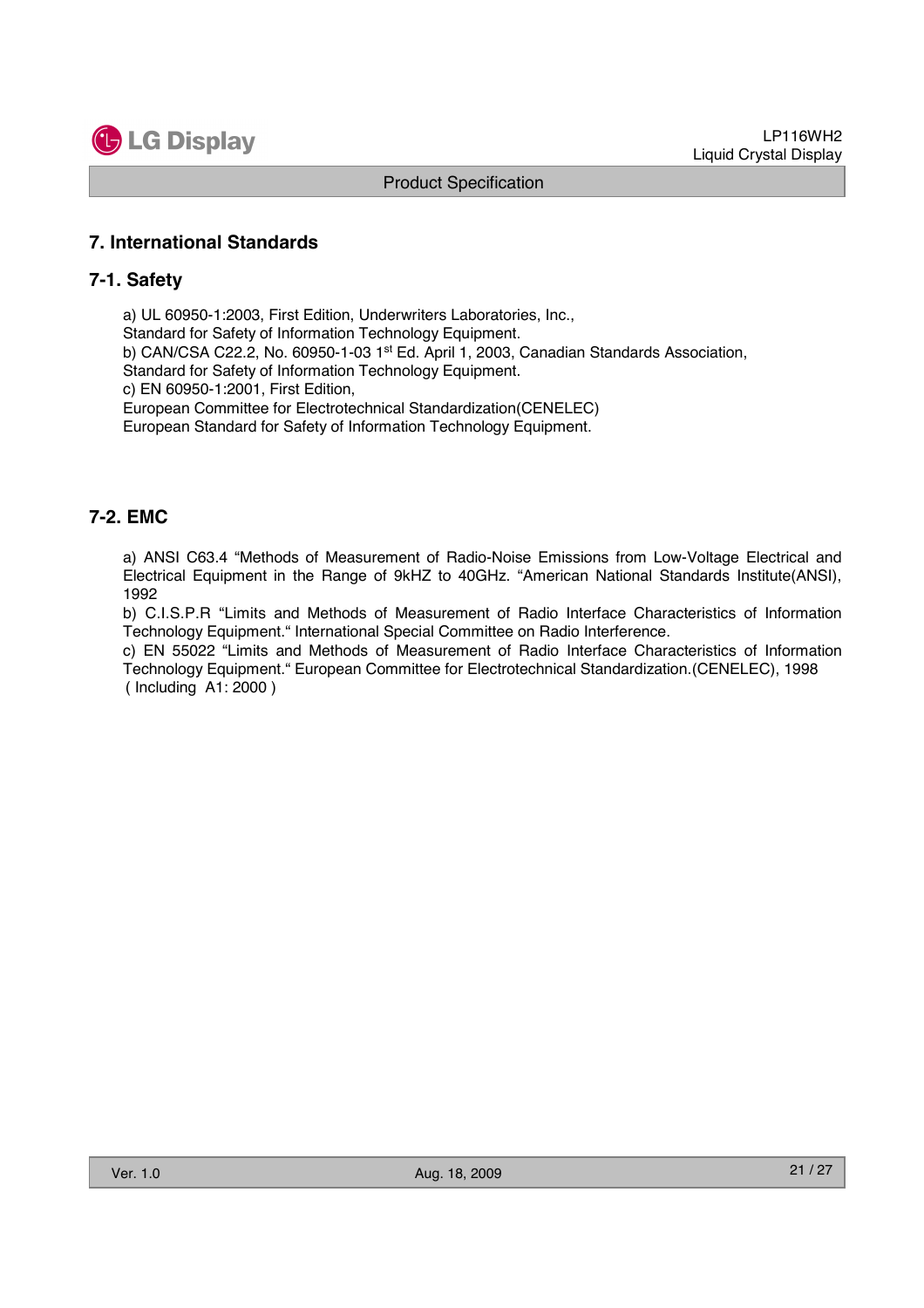

#### **7. International Standards**

#### **7-1. Safety**

a) UL 60950-1:2003, First Edition, Underwriters Laboratories, Inc., Standard for Safety of Information Technology Equipment. b) CAN/CSA C22.2, No. 60950-1-03 1st Ed. April 1, 2003, Canadian Standards Association, Standard for Safety of Information Technology Equipment. c) EN 60950-1:2001, First Edition, European Committee for Electrotechnical Standardization(CENELEC) European Standard for Safety of Information Technology Equipment.

#### **7-2. EMC**

a) ANSI C63.4 "Methods of Measurement of Radio-Noise Emissions from Low-Voltage Electrical and Electrical Equipment in the Range of 9kHZ to 40GHz. "American National Standards Institute(ANSI), 1992

b) C.I.S.P.R "Limits and Methods of Measurement of Radio Interface Characteristics of Information Technology Equipment." International Special Committee on Radio Interference.

c) EN 55022 "Limits and Methods of Measurement of Radio Interface Characteristics of Information Technology Equipment." European Committee for Electrotechnical Standardization.(CENELEC), 1998 ( Including A1: 2000 )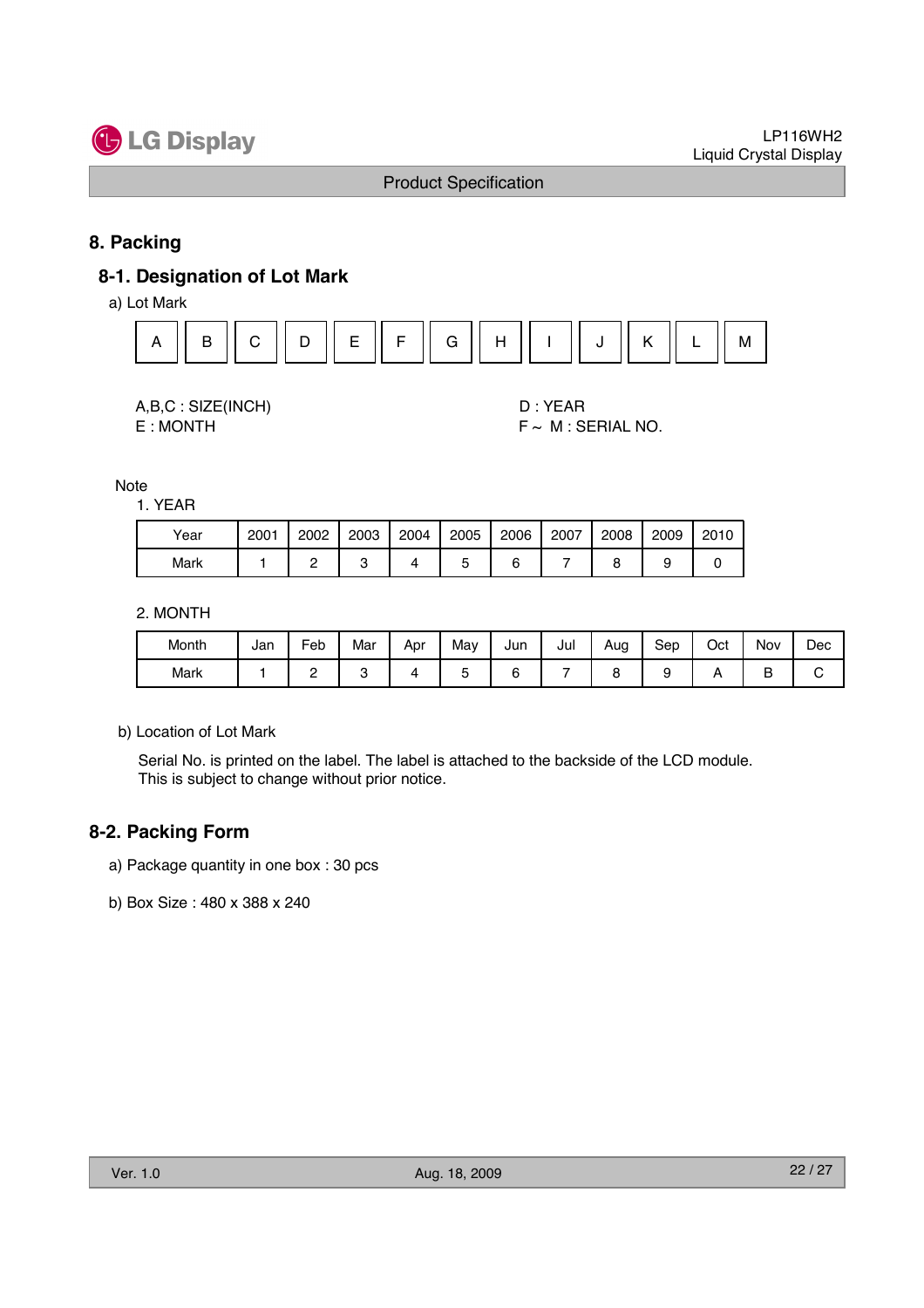

#### **8. Packing**

#### **8-1. Designation of Lot Mark**

a) Lot Mark



| A,B,C: SIZE(INCH) |
|-------------------|
| E : MONTH         |

D : YEAR  $F \sim M$  : SERIAL NO.

Note

1. YEAR

| Year | 2001 | 2002 | 2003 | 2004 | 2005 | 2006 | 2007 | 2008 | 2009 | 2010 |
|------|------|------|------|------|------|------|------|------|------|------|
| Mark |      |      |      |      |      |      |      |      |      |      |

#### 2. MONTH

| Month | Jan | Feb | Mar | Apr | May | Jun | Jul | Aug | Sep | Oct | Nov    | Dec |
|-------|-----|-----|-----|-----|-----|-----|-----|-----|-----|-----|--------|-----|
| Mark  |     | -   |     |     | ~   |     |     |     |     |     | г<br>▫ | ◡   |

b) Location of Lot Mark

Serial No. is printed on the label. The label is attached to the backside of the LCD module. This is subject to change without prior notice.

#### **8-2. Packing Form**

- a) Package quantity in one box : 30 pcs
- b) Box Size : 480 x 388 x 240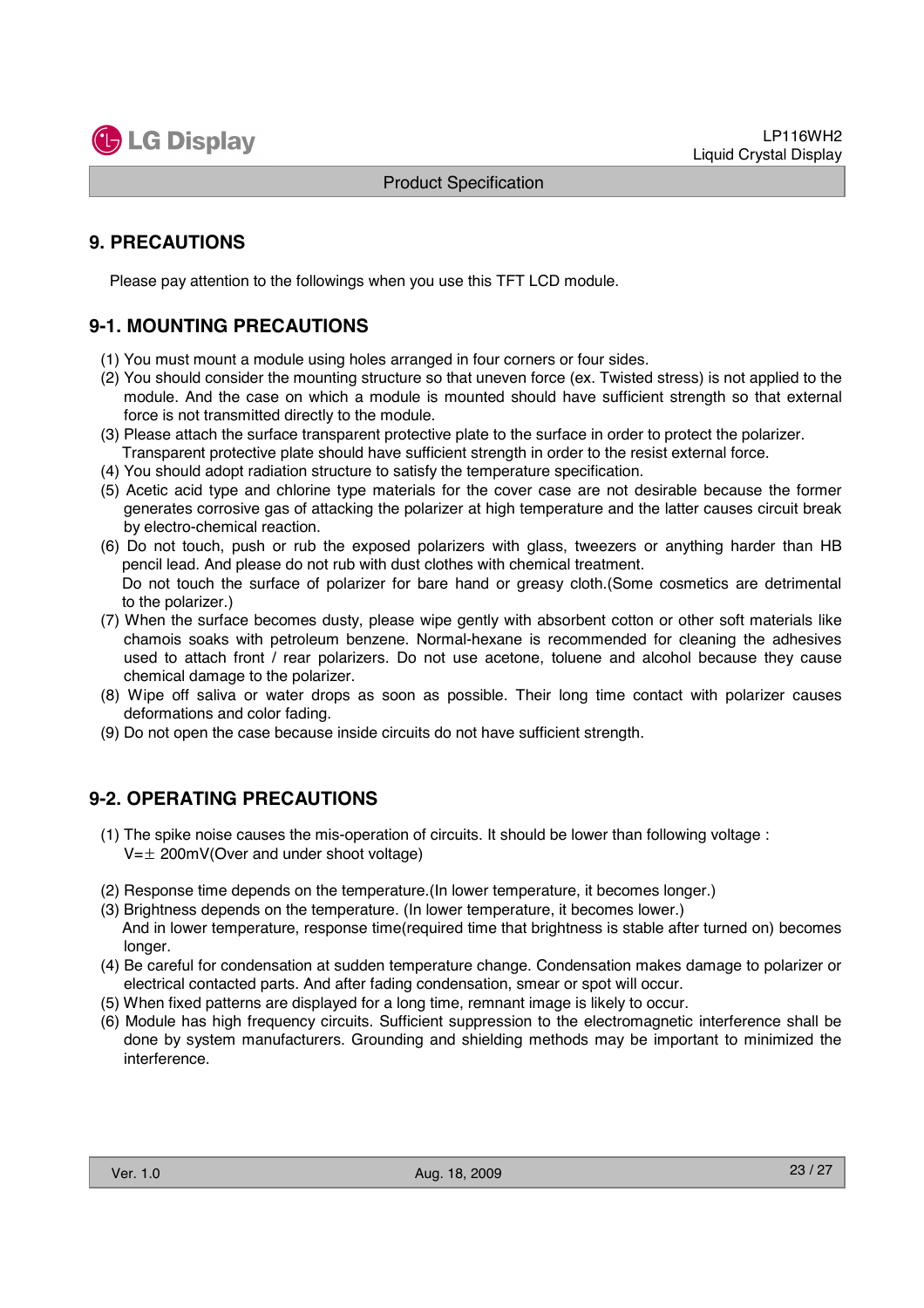

## **9. PRECAUTIONS**

Please pay attention to the followings when you use this TFT LCD module.

## **9-1. MOUNTING PRECAUTIONS**

- (1) You must mount a module using holes arranged in four corners or four sides.
- (2) You should consider the mounting structure so that uneven force (ex. Twisted stress) is not applied to the module. And the case on which a module is mounted should have sufficient strength so that external force is not transmitted directly to the module.
- (3) Please attach the surface transparent protective plate to the surface in order to protect the polarizer. Transparent protective plate should have sufficient strength in order to the resist external force.
- (4) You should adopt radiation structure to satisfy the temperature specification.
- (5) Acetic acid type and chlorine type materials for the cover case are not desirable because the former generates corrosive gas of attacking the polarizer at high temperature and the latter causes circuit break by electro-chemical reaction.
- (6) Do not touch, push or rub the exposed polarizers with glass, tweezers or anything harder than HB pencil lead. And please do not rub with dust clothes with chemical treatment. Do not touch the surface of polarizer for bare hand or greasy cloth.(Some cosmetics are detrimental to the polarizer.)
- (7) When the surface becomes dusty, please wipe gently with absorbent cotton or other soft materials like chamois soaks with petroleum benzene. Normal-hexane is recommended for cleaning the adhesives used to attach front / rear polarizers. Do not use acetone, toluene and alcohol because they cause chemical damage to the polarizer.
- (8) Wipe off saliva or water drops as soon as possible. Their long time contact with polarizer causes deformations and color fading.
- (9) Do not open the case because inside circuits do not have sufficient strength.

## **9-2. OPERATING PRECAUTIONS**

- (1) The spike noise causes the mis-operation of circuits. It should be lower than following voltage :  $V=\pm 200$ mV(Over and under shoot voltage)
- (2) Response time depends on the temperature.(In lower temperature, it becomes longer.)
- (3) Brightness depends on the temperature. (In lower temperature, it becomes lower.) And in lower temperature, response time(required time that brightness is stable after turned on) becomes longer.
- (4) Be careful for condensation at sudden temperature change. Condensation makes damage to polarizer or electrical contacted parts. And after fading condensation, smear or spot will occur.
- (5) When fixed patterns are displayed for a long time, remnant image is likely to occur.
- (6) Module has high frequency circuits. Sufficient suppression to the electromagnetic interference shall be done by system manufacturers. Grounding and shielding methods may be important to minimized the interference.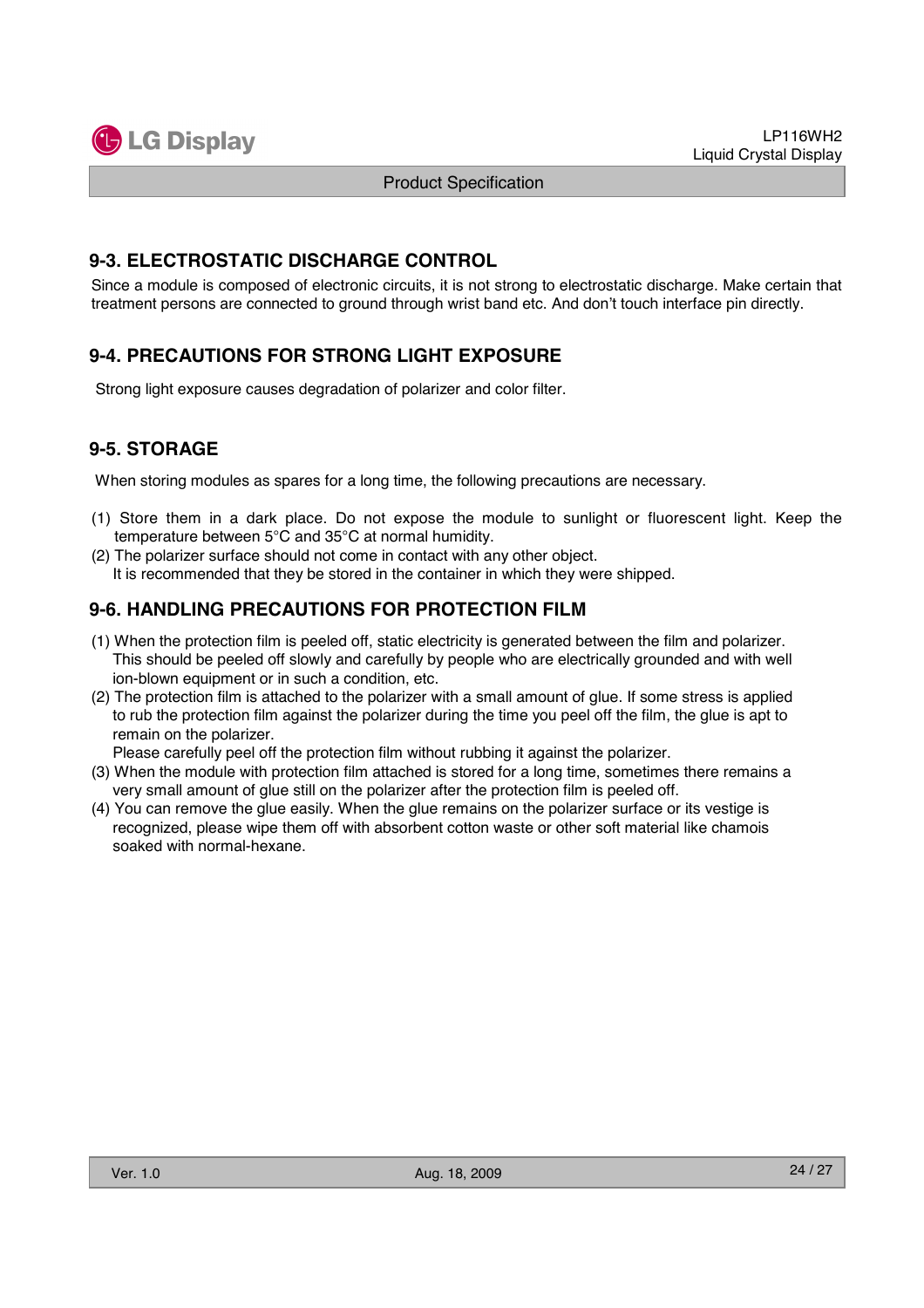

#### **9-3. ELECTROSTATIC DISCHARGE CONTROL**

Since a module is composed of electronic circuits, it is not strong to electrostatic discharge. Make certain that treatment persons are connected to ground through wrist band etc. And don't touch interface pin directly.

## **9-4. PRECAUTIONS FOR STRONG LIGHT EXPOSURE**

Strong light exposure causes degradation of polarizer and color filter.

## **9-5. STORAGE**

When storing modules as spares for a long time, the following precautions are necessary.

- (1) Store them in a dark place. Do not expose the module to sunlight or fluorescent light. Keep the temperature between 5°C and 35°C at normal humidity.
- (2) The polarizer surface should not come in contact with any other object. It is recommended that they be stored in the container in which they were shipped.

## **9-6. HANDLING PRECAUTIONS FOR PROTECTION FILM**

- (1) When the protection film is peeled off, static electricity is generated between the film and polarizer. This should be peeled off slowly and carefully by people who are electrically grounded and with well ion-blown equipment or in such a condition, etc.
- (2) The protection film is attached to the polarizer with a small amount of glue. If some stress is applied to rub the protection film against the polarizer during the time you peel off the film, the glue is apt to remain on the polarizer.

Please carefully peel off the protection film without rubbing it against the polarizer.

- (3) When the module with protection film attached is stored for a long time, sometimes there remains a very small amount of glue still on the polarizer after the protection film is peeled off.
- (4) You can remove the glue easily. When the glue remains on the polarizer surface or its vestige is recognized, please wipe them off with absorbent cotton waste or other soft material like chamois soaked with normal-hexane.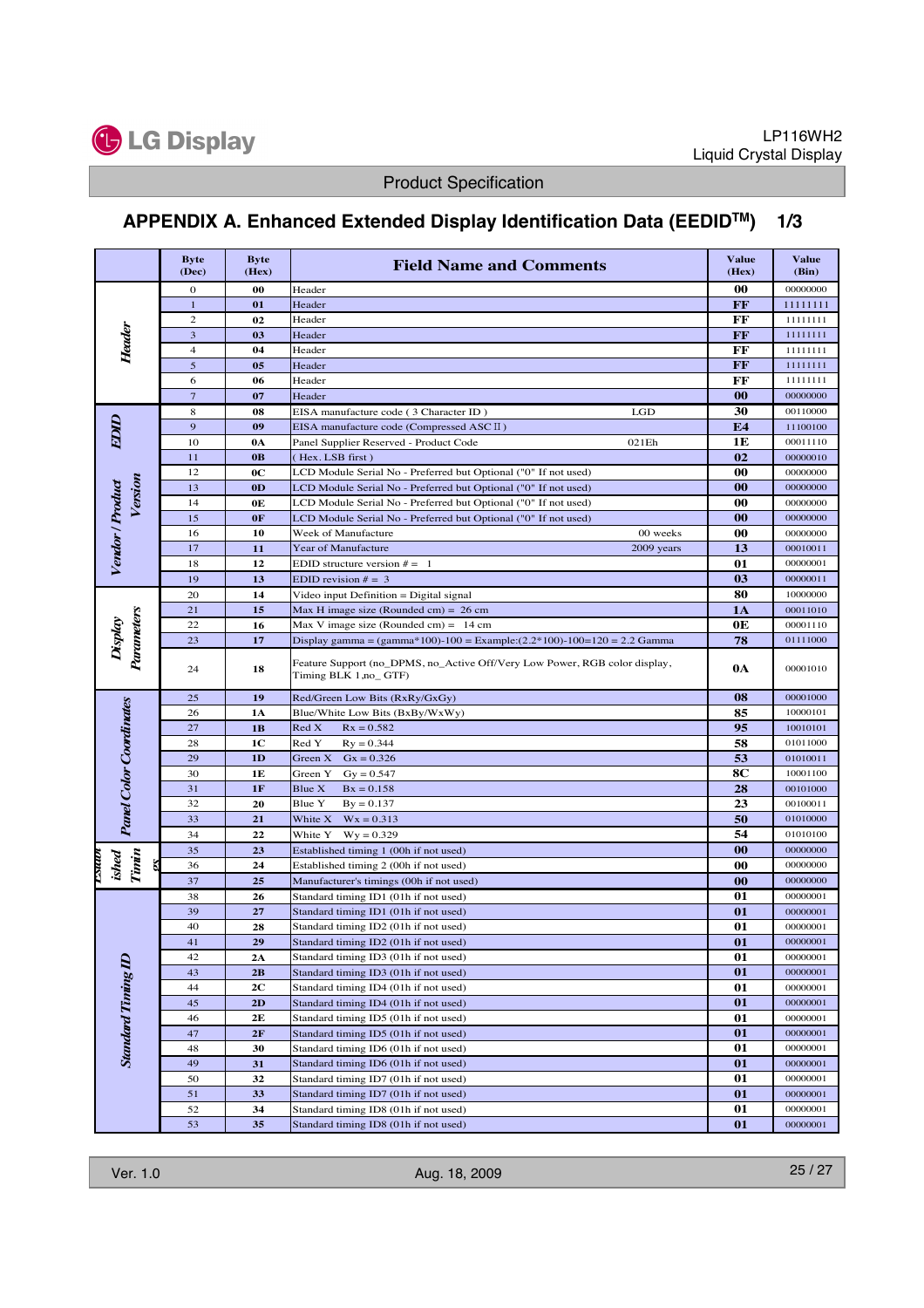

# **APPENDIX A. Enhanced Extended Display Identification Data (EEDIDTM) 1/3**

|                                | <b>Byte</b><br>(Dec) | <b>Byte</b><br>(Hex) | <b>Field Name and Comments</b>                                                                      | <b>Value</b><br>(Hex)    | <b>Value</b><br>(Bin) |
|--------------------------------|----------------------|----------------------|-----------------------------------------------------------------------------------------------------|--------------------------|-----------------------|
|                                | 0                    | 00                   | Header                                                                                              | 00                       | 00000000              |
|                                | $\mathbf{1}$         | 01                   | Header                                                                                              | FF                       | 11111111              |
|                                | $\overline{c}$       | 02                   | Header                                                                                              | FF                       | 11111111              |
| Header                         | 3                    | 03                   | Header                                                                                              | FF                       | 11111111              |
|                                | $\overline{4}$       | 04                   | Header                                                                                              | FF                       | 11111111              |
|                                | $\sqrt{5}$           | 05                   | Header                                                                                              | FF                       | 11111111              |
|                                | 6                    | 06                   | Header                                                                                              | FF                       | 11111111              |
|                                | $\overline{7}$       | 07                   | Header                                                                                              | $\bf{00}$                | 00000000              |
|                                | $\,$ 8 $\,$          | 08                   | EISA manufacture code (3 Character ID)<br>LGD                                                       | 30                       | 00110000              |
| <b>EDID</b>                    | 9                    | 09                   | EISA manufacture code (Compressed ASC II)                                                           | E4                       | 11100100              |
|                                | 10                   | 0A                   | Panel Supplier Reserved - Product Code<br>021Eh                                                     | 1E                       | 00011110              |
|                                | 11                   | 0B                   | (Hex. LSB first)                                                                                    | 02                       | 00000010              |
|                                | 12                   | 0C                   | LCD Module Serial No - Preferred but Optional ("0" If not used)                                     | 00                       | 00000000              |
| Version                        | 13                   | 0 <sub>D</sub>       | LCD Module Serial No - Preferred but Optional ("0" If not used)                                     | 00                       | 00000000              |
|                                | 14                   | 0E                   | LCD Module Serial No - Preferred but Optional ("0" If not used)                                     | 00                       | 00000000              |
|                                | 15                   | 0F                   | LCD Module Serial No - Preferred but Optional ("0" If not used)                                     | $\bf{00}$                | 00000000              |
|                                | 16                   | 10                   | 00 weeks<br>Week of Manufacture                                                                     | 00                       | 00000000              |
| Vendor / Product               | 17                   | 11                   | Year of Manufacture<br>2009 years                                                                   | 13                       | 00010011              |
|                                | 18                   | 12                   | EDID structure version $# = 1$                                                                      | 01                       | 00000001              |
|                                | 19                   | 13                   | EDID revision $# = 3$                                                                               | 03                       | 00000011              |
|                                | 20                   | 14                   | Video input Definition = Digital signal                                                             | 80                       | 10000000              |
|                                | 21                   | 15                   | Max H image size (Rounded cm) = $26$ cm                                                             | 1A                       | 00011010              |
|                                | 22                   | 16                   | Max V image size (Rounded cm) = $14 \text{ cm}$                                                     | 0E                       | 00001110              |
| Display                        | 23                   | 17                   | Display gamma = $(gamma*100)-100 = Example:(2.2*100)-100=120 = 2.2$ Gamma                           | 78                       | 01111000              |
| Parameters                     | 24                   | 18                   | Feature Support (no_DPMS, no_Active Off/Very Low Power, RGB color display,<br>Timing BLK 1,no_ GTF) | 0A                       | 00001010              |
|                                | 25                   | 19                   | Red/Green Low Bits (RxRy/GxGy)                                                                      | 08                       | 00001000              |
| <b>Panel Color Coordinates</b> | 26                   | 1A                   | Blue/White Low Bits (BxBy/WxWy)                                                                     | 85                       | 10000101              |
|                                | 27                   | 1B                   | Red X<br>$Rx = 0.582$                                                                               | 95                       | 10010101              |
|                                | 28                   | 1C                   | Red Y<br>$Ry = 0.344$                                                                               | 58                       | 01011000              |
|                                | 29                   | 1D                   | Green X<br>$Gx = 0.326$                                                                             | 53                       | 01010011              |
|                                | 30                   | 1E                   | Green Y<br>$Gy = 0.547$                                                                             | 8C                       | 10001100              |
|                                | 31                   | 1F                   | Blue X<br>$Bx = 0.158$                                                                              | 28                       | 00101000              |
|                                | 32                   | 20                   | Blue Y<br>$By = 0.137$                                                                              | 23                       | 00100011              |
|                                | 33                   | 21                   | White X<br>$Wx = 0.313$                                                                             | 50                       | 01010000              |
|                                | 34                   | 22                   | White Y<br>$Wy = 0.329$                                                                             | 54                       | 01010100              |
|                                | 35                   | 23                   | Established timing 1 (00h if not used)                                                              | 00                       | 00000000              |
| ished<br>Tinin<br>mna          | 36                   | 24                   | Established timing 2 (00h if not used)                                                              | 00                       | 00000000              |
|                                | 37                   | 25                   | Manufacturer's timings (00h if not used)                                                            | $\bf{00}$                | 00000000              |
|                                | 38                   | 26                   | Standard timing ID1 (01h if not used)                                                               | 01                       | 00000001              |
|                                | 39                   | 27                   | Standard timing ID1 (01h if not used)                                                               | 01                       | 00000001              |
|                                | 40                   | 28                   | Standard timing ID2 (01h if not used)                                                               | 01                       | 00000001              |
|                                | 41                   | ${\bf 29}$           | Standard timing ID2 (01h if not used)                                                               | $\overline{\mathbf{01}}$ | 00000001              |
|                                | 42                   | 2A                   | Standard timing ID3 (01h if not used)                                                               | 01                       | 00000001              |
| <b>Standard Timing ID</b>      | 43                   | 2B                   | Standard timing ID3 (01h if not used)                                                               | 01                       | 00000001              |
|                                | 44                   | 2C                   | Standard timing ID4 (01h if not used)                                                               | 01                       | 00000001              |
|                                | 45                   | 2D                   | Standard timing ID4 (01h if not used)                                                               | 01                       | 00000001              |
|                                | 46                   | 2E                   | Standard timing ID5 (01h if not used)                                                               | 01                       | 00000001              |
|                                | 47                   | 2F                   | Standard timing ID5 (01h if not used)                                                               | 01                       | 00000001              |
|                                | 48                   | 30                   | Standard timing ID6 (01h if not used)                                                               | 01                       | 00000001              |
|                                | 49                   | 31                   | Standard timing ID6 (01h if not used)                                                               | 01                       | 00000001              |
|                                | 50                   | 32                   | Standard timing ID7 (01h if not used)                                                               | 01                       | 00000001              |
|                                | 51                   | 33                   | Standard timing ID7 (01h if not used)                                                               | 01                       | 00000001              |
|                                | 52                   | 34                   | Standard timing ID8 (01h if not used)                                                               | 01                       | 00000001              |
|                                | 53                   | 35                   | Standard timing ID8 (01h if not used)                                                               | 01                       | 00000001              |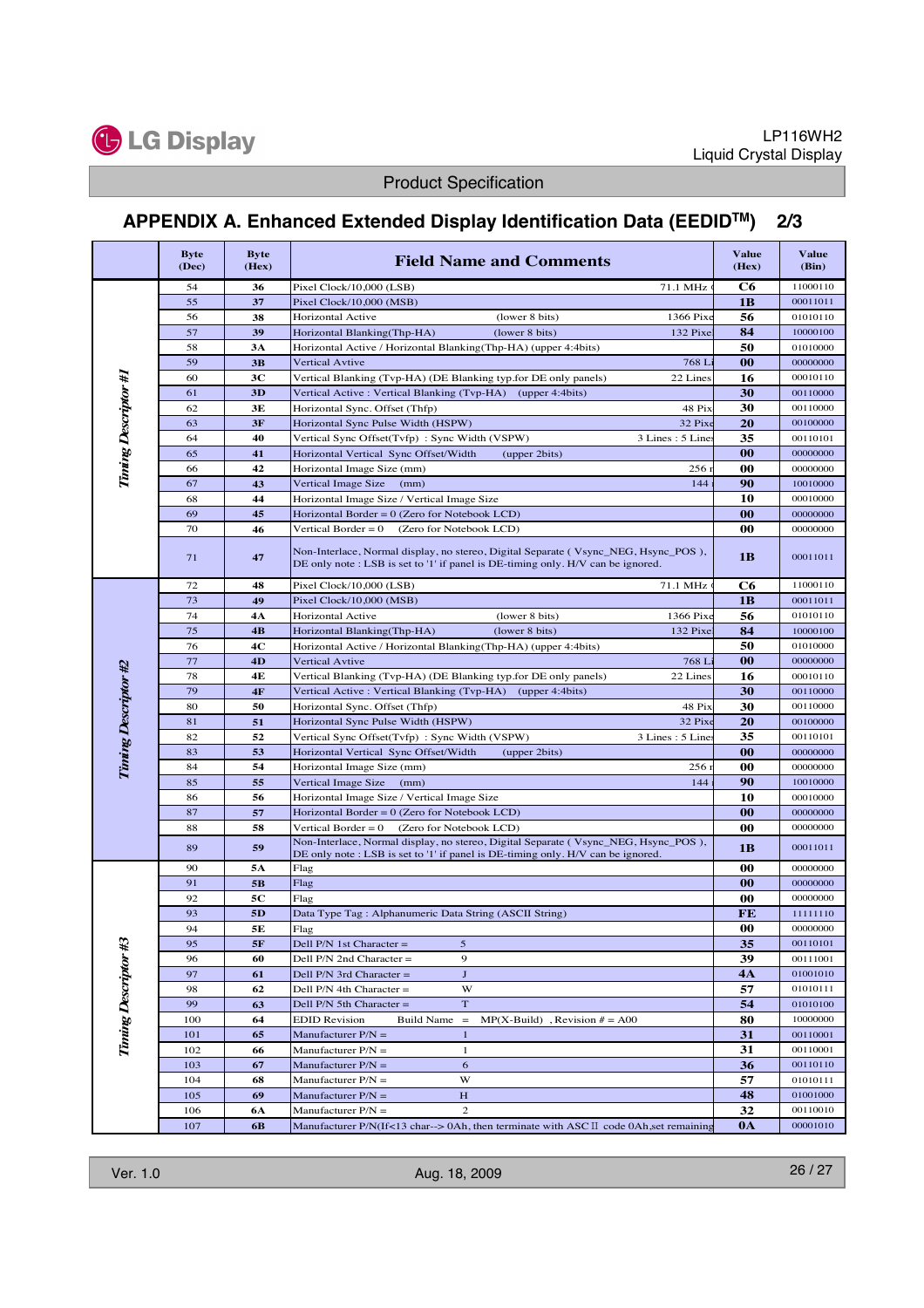

# **APPENDIX A. Enhanced Extended Display Identification Data (EEDIDTM) 2/3**

| Pixel Clock/10,000 (LSB)<br>71.1 MHz<br>11000110<br>54<br>36<br>C6<br>55<br>37<br>1B<br>00011011<br>Pixel Clock/10,000 (MSB)<br>38<br>Horizontal Active<br>56<br>01010110<br>56<br>(lower 8 bits)<br>1366 Pix<br>57<br>39<br>84<br>132 Pixe<br>Horizontal Blanking(Thp-HA)<br>(lower 8 bits)<br>10000100<br>Horizontal Active / Horizontal Blanking(Thp-HA) (upper 4:4bits)<br>50<br>01010000<br>58<br>3A<br>00<br>59<br>3B<br><b>Vertical Avtive</b><br>768 L<br>00000000<br><b>Tining Descriptor #1</b><br>60<br>3 <sub>C</sub><br>22 Lines<br>16<br>00010110<br>Vertical Blanking (Tvp-HA) (DE Blanking typ.for DE only panels)<br>30<br>61<br>3D<br>Vertical Active: Vertical Blanking (Tvp-HA) (upper 4:4bits)<br>00110000<br>62<br>3E<br>30<br>Horizontal Sync. Offset (Thfp)<br>48 Pi<br>00110000<br>3F<br>20<br>63<br>32 Pix<br>Horizontal Sync Pulse Width (HSPW)<br>00100000<br>40<br>Vertical Sync Offset(Tvfp): Sync Width (VSPW)<br>3 Lines: 5 Line<br>35<br>64<br>00110101<br>0 <sub>0</sub><br>65<br>41<br>Horizontal Vertical Sync Offset/Width<br>(upper 2bits)<br>00000000<br>42<br>00<br>00000000<br>66<br>Horizontal Image Size (mm)<br>256<br>67<br>90<br>43<br>Vertical Image Size<br>144<br>(mm)<br>10010000<br>44<br>Horizontal Image Size / Vertical Image Size<br>10<br>00010000<br>68<br>45<br>00<br>69<br>Horizontal Border = 0 (Zero for Notebook LCD)<br>00000000<br>70<br>00<br>46<br>Vertical Border = $0$<br>(Zero for Notebook LCD)<br>00000000<br>Non-Interlace, Normal display, no stereo, Digital Separate (Vsync_NEG, Hsync_POS),<br>1B<br>00011011<br>71<br>47<br>DE only note: LSB is set to '1' if panel is DE-timing only. H/V can be ignored.<br>C6<br>72<br>71.1 MHz<br>48<br>Pixel Clock/10,000 (LSB)<br>11000110<br>73<br>1B<br>49<br>Pixel Clock/10,000 (MSB)<br>00011011<br>74<br><b>Horizontal Active</b><br>(lower 8 bits)<br>56<br>1366 Pix<br>01010110<br>4A<br>75<br>84<br>4B<br>Horizontal Blanking(Thp-HA)<br>(lower 8 bits)<br>132 Pixe<br>10000100<br>50<br>4C<br>76<br>Horizontal Active / Horizontal Blanking(Thp-HA) (upper 4:4bits)<br>01010000<br>77<br>00<br><b>Vertical Avtive</b><br>768 L<br>4D<br>00000000<br><b>Timing Descriptor #2</b><br>78<br>16<br>22 Lines<br>4E<br>Vertical Blanking (Tvp-HA) (DE Blanking typ.for DE only panels)<br>00010110<br>79<br>Vertical Active: Vertical Blanking (Tvp-HA) (upper 4:4bits)<br>30<br>$4F$<br>00110000<br>80<br>30<br>Horizontal Sync. Offset (Thfp)<br>48 Pi<br>50<br>00110000<br>20<br>81<br>Horizontal Sync Pulse Width (HSPW)<br>32 Pix<br>51<br>00100000<br>82<br>Vertical Sync Offset(Tvfp): Sync Width (VSPW)<br>3 Lines: 5 Line<br>35<br>52<br>00110101<br>83<br>00<br>Horizontal Vertical Sync Offset/Width<br>53<br>(upper 2bits)<br>00000000<br>84<br>00<br>54<br>Horizontal Image Size (mm)<br>256<br>00000000<br>90<br>85<br>55<br>Vertical Image Size<br>144<br>(mm)<br>10010000<br>10<br>86<br>Horizontal Image Size / Vertical Image Size<br>56<br>00010000<br>00<br>87<br>Horizontal Border = $0$ (Zero for Notebook LCD)<br>57<br>00000000<br>88<br>58<br>Vertical Border = $0$<br>(Zero for Notebook LCD)<br>00<br>00000000<br>Non-Interlace, Normal display, no stereo, Digital Separate (Vsync_NEG, Hsync_POS),<br>89<br>59<br>1B<br>00011011<br>DE only note: LSB is set to '1' if panel is DE-timing only. H/V can be ignored.<br>Flag<br>00<br>90<br>5A<br>00000000<br>91<br>5B<br>00<br>00000000<br>Flag<br>5С<br>Flag<br>00<br>92<br>00000000<br>93<br>5 <sub>D</sub><br>FE<br>11111110<br>Data Type Tag: Alphanumeric Data String (ASCII String)<br>00<br>94<br>5E<br>Flag<br>00000000<br><b>Tining Descriptor #3</b><br>95<br>5<br>35<br>00110101<br>5F<br>Dell $P/N$ 1st Character =<br>9<br>39<br>96<br>60<br>00111001<br>Dell P/N 2nd Character =<br>$\mathbf{J}$<br>97<br>4A<br>01001010<br>61<br>Dell $P/N$ 3rd Character =<br>57<br>98<br>62<br>Dell $P/N$ 4th Character =<br>W<br>01010111<br>99<br>$\mathbf T$<br>54<br>01010100<br>63<br>Dell P/N 5th Character =<br>80<br>100<br>64<br><b>EDID Revision</b><br>10000000<br><b>Build Name</b><br>$\hspace{0.1cm} = \hspace{0.1cm}$<br>$MP(X-Build)$ , Revision $# = A00$<br>65<br>31<br>00110001<br>101<br>Manufacturer $P/N =$<br>$\mathbf{1}$<br>31<br>102<br>66<br>Manufacturer $P/N =$<br>1<br>00110001<br>103<br>36<br>00110110<br>67<br>Manufacturer $P/N =$<br>6<br>W<br>57<br>104<br>68<br>Manufacturer $P/N =$<br>01010111<br>48<br>105<br>69<br>H<br>01001000<br>Manufacturer $P/N =$<br>32<br>$\overline{c}$<br>00110010<br>106<br>6A<br>Manufacturer P/N =<br>107<br>0A<br>00001010<br>Manufacturer P/N(If<13 char--> 0Ah, then terminate with ASC $\mathbb{I}$ code 0Ah, set remaining<br>6 <b>B</b> | <b>Byte</b><br>(Dec) | <b>Byte</b><br>(Hex) | <b>Field Name and Comments</b> | <b>Value</b><br>(Hex) | <b>Value</b><br>(Bin) |
|--------------------------------------------------------------------------------------------------------------------------------------------------------------------------------------------------------------------------------------------------------------------------------------------------------------------------------------------------------------------------------------------------------------------------------------------------------------------------------------------------------------------------------------------------------------------------------------------------------------------------------------------------------------------------------------------------------------------------------------------------------------------------------------------------------------------------------------------------------------------------------------------------------------------------------------------------------------------------------------------------------------------------------------------------------------------------------------------------------------------------------------------------------------------------------------------------------------------------------------------------------------------------------------------------------------------------------------------------------------------------------------------------------------------------------------------------------------------------------------------------------------------------------------------------------------------------------------------------------------------------------------------------------------------------------------------------------------------------------------------------------------------------------------------------------------------------------------------------------------------------------------------------------------------------------------------------------------------------------------------------------------------------------------------------------------------------------------------------------------------------------------------------------------------------------------------------------------------------------------------------------------------------------------------------------------------------------------------------------------------------------------------------------------------------------------------------------------------------------------------------------------------------------------------------------------------------------------------------------------------------------------------------------------------------------------------------------------------------------------------------------------------------------------------------------------------------------------------------------------------------------------------------------------------------------------------------------------------------------------------------------------------------------------------------------------------------------------------------------------------------------------------------------------------------------------------------------------------------------------------------------------------------------------------------------------------------------------------------------------------------------------------------------------------------------------------------------------------------------------------------------------------------------------------------------------------------------------------------------------------------------------------------------------------------------------------------------------------------------------------------------------------------------------------------------------------------------------------------------------------------------------------------------------------------------------------------------------------------------------------------------------------------------------------------------------------------------------------------------------------------------------------------------------------------------------------------------------------------------------------------------------------------------------------------------------------------------------------------------------------------------------------------------------------------------------------------------------------------------------------------------------------------------------------------------------------------------------------------------------------------------------------------------------------------------------------------------------------------|----------------------|----------------------|--------------------------------|-----------------------|-----------------------|
|                                                                                                                                                                                                                                                                                                                                                                                                                                                                                                                                                                                                                                                                                                                                                                                                                                                                                                                                                                                                                                                                                                                                                                                                                                                                                                                                                                                                                                                                                                                                                                                                                                                                                                                                                                                                                                                                                                                                                                                                                                                                                                                                                                                                                                                                                                                                                                                                                                                                                                                                                                                                                                                                                                                                                                                                                                                                                                                                                                                                                                                                                                                                                                                                                                                                                                                                                                                                                                                                                                                                                                                                                                                                                                                                                                                                                                                                                                                                                                                                                                                                                                                                                                                                                                                                                                                                                                                                                                                                                                                                                                                                                                                                                                                          |                      |                      |                                |                       |                       |
|                                                                                                                                                                                                                                                                                                                                                                                                                                                                                                                                                                                                                                                                                                                                                                                                                                                                                                                                                                                                                                                                                                                                                                                                                                                                                                                                                                                                                                                                                                                                                                                                                                                                                                                                                                                                                                                                                                                                                                                                                                                                                                                                                                                                                                                                                                                                                                                                                                                                                                                                                                                                                                                                                                                                                                                                                                                                                                                                                                                                                                                                                                                                                                                                                                                                                                                                                                                                                                                                                                                                                                                                                                                                                                                                                                                                                                                                                                                                                                                                                                                                                                                                                                                                                                                                                                                                                                                                                                                                                                                                                                                                                                                                                                                          |                      |                      |                                |                       |                       |
|                                                                                                                                                                                                                                                                                                                                                                                                                                                                                                                                                                                                                                                                                                                                                                                                                                                                                                                                                                                                                                                                                                                                                                                                                                                                                                                                                                                                                                                                                                                                                                                                                                                                                                                                                                                                                                                                                                                                                                                                                                                                                                                                                                                                                                                                                                                                                                                                                                                                                                                                                                                                                                                                                                                                                                                                                                                                                                                                                                                                                                                                                                                                                                                                                                                                                                                                                                                                                                                                                                                                                                                                                                                                                                                                                                                                                                                                                                                                                                                                                                                                                                                                                                                                                                                                                                                                                                                                                                                                                                                                                                                                                                                                                                                          |                      |                      |                                |                       |                       |
|                                                                                                                                                                                                                                                                                                                                                                                                                                                                                                                                                                                                                                                                                                                                                                                                                                                                                                                                                                                                                                                                                                                                                                                                                                                                                                                                                                                                                                                                                                                                                                                                                                                                                                                                                                                                                                                                                                                                                                                                                                                                                                                                                                                                                                                                                                                                                                                                                                                                                                                                                                                                                                                                                                                                                                                                                                                                                                                                                                                                                                                                                                                                                                                                                                                                                                                                                                                                                                                                                                                                                                                                                                                                                                                                                                                                                                                                                                                                                                                                                                                                                                                                                                                                                                                                                                                                                                                                                                                                                                                                                                                                                                                                                                                          |                      |                      |                                |                       |                       |
|                                                                                                                                                                                                                                                                                                                                                                                                                                                                                                                                                                                                                                                                                                                                                                                                                                                                                                                                                                                                                                                                                                                                                                                                                                                                                                                                                                                                                                                                                                                                                                                                                                                                                                                                                                                                                                                                                                                                                                                                                                                                                                                                                                                                                                                                                                                                                                                                                                                                                                                                                                                                                                                                                                                                                                                                                                                                                                                                                                                                                                                                                                                                                                                                                                                                                                                                                                                                                                                                                                                                                                                                                                                                                                                                                                                                                                                                                                                                                                                                                                                                                                                                                                                                                                                                                                                                                                                                                                                                                                                                                                                                                                                                                                                          |                      |                      |                                |                       |                       |
|                                                                                                                                                                                                                                                                                                                                                                                                                                                                                                                                                                                                                                                                                                                                                                                                                                                                                                                                                                                                                                                                                                                                                                                                                                                                                                                                                                                                                                                                                                                                                                                                                                                                                                                                                                                                                                                                                                                                                                                                                                                                                                                                                                                                                                                                                                                                                                                                                                                                                                                                                                                                                                                                                                                                                                                                                                                                                                                                                                                                                                                                                                                                                                                                                                                                                                                                                                                                                                                                                                                                                                                                                                                                                                                                                                                                                                                                                                                                                                                                                                                                                                                                                                                                                                                                                                                                                                                                                                                                                                                                                                                                                                                                                                                          |                      |                      |                                |                       |                       |
|                                                                                                                                                                                                                                                                                                                                                                                                                                                                                                                                                                                                                                                                                                                                                                                                                                                                                                                                                                                                                                                                                                                                                                                                                                                                                                                                                                                                                                                                                                                                                                                                                                                                                                                                                                                                                                                                                                                                                                                                                                                                                                                                                                                                                                                                                                                                                                                                                                                                                                                                                                                                                                                                                                                                                                                                                                                                                                                                                                                                                                                                                                                                                                                                                                                                                                                                                                                                                                                                                                                                                                                                                                                                                                                                                                                                                                                                                                                                                                                                                                                                                                                                                                                                                                                                                                                                                                                                                                                                                                                                                                                                                                                                                                                          |                      |                      |                                |                       |                       |
|                                                                                                                                                                                                                                                                                                                                                                                                                                                                                                                                                                                                                                                                                                                                                                                                                                                                                                                                                                                                                                                                                                                                                                                                                                                                                                                                                                                                                                                                                                                                                                                                                                                                                                                                                                                                                                                                                                                                                                                                                                                                                                                                                                                                                                                                                                                                                                                                                                                                                                                                                                                                                                                                                                                                                                                                                                                                                                                                                                                                                                                                                                                                                                                                                                                                                                                                                                                                                                                                                                                                                                                                                                                                                                                                                                                                                                                                                                                                                                                                                                                                                                                                                                                                                                                                                                                                                                                                                                                                                                                                                                                                                                                                                                                          |                      |                      |                                |                       |                       |
|                                                                                                                                                                                                                                                                                                                                                                                                                                                                                                                                                                                                                                                                                                                                                                                                                                                                                                                                                                                                                                                                                                                                                                                                                                                                                                                                                                                                                                                                                                                                                                                                                                                                                                                                                                                                                                                                                                                                                                                                                                                                                                                                                                                                                                                                                                                                                                                                                                                                                                                                                                                                                                                                                                                                                                                                                                                                                                                                                                                                                                                                                                                                                                                                                                                                                                                                                                                                                                                                                                                                                                                                                                                                                                                                                                                                                                                                                                                                                                                                                                                                                                                                                                                                                                                                                                                                                                                                                                                                                                                                                                                                                                                                                                                          |                      |                      |                                |                       |                       |
|                                                                                                                                                                                                                                                                                                                                                                                                                                                                                                                                                                                                                                                                                                                                                                                                                                                                                                                                                                                                                                                                                                                                                                                                                                                                                                                                                                                                                                                                                                                                                                                                                                                                                                                                                                                                                                                                                                                                                                                                                                                                                                                                                                                                                                                                                                                                                                                                                                                                                                                                                                                                                                                                                                                                                                                                                                                                                                                                                                                                                                                                                                                                                                                                                                                                                                                                                                                                                                                                                                                                                                                                                                                                                                                                                                                                                                                                                                                                                                                                                                                                                                                                                                                                                                                                                                                                                                                                                                                                                                                                                                                                                                                                                                                          |                      |                      |                                |                       |                       |
|                                                                                                                                                                                                                                                                                                                                                                                                                                                                                                                                                                                                                                                                                                                                                                                                                                                                                                                                                                                                                                                                                                                                                                                                                                                                                                                                                                                                                                                                                                                                                                                                                                                                                                                                                                                                                                                                                                                                                                                                                                                                                                                                                                                                                                                                                                                                                                                                                                                                                                                                                                                                                                                                                                                                                                                                                                                                                                                                                                                                                                                                                                                                                                                                                                                                                                                                                                                                                                                                                                                                                                                                                                                                                                                                                                                                                                                                                                                                                                                                                                                                                                                                                                                                                                                                                                                                                                                                                                                                                                                                                                                                                                                                                                                          |                      |                      |                                |                       |                       |
|                                                                                                                                                                                                                                                                                                                                                                                                                                                                                                                                                                                                                                                                                                                                                                                                                                                                                                                                                                                                                                                                                                                                                                                                                                                                                                                                                                                                                                                                                                                                                                                                                                                                                                                                                                                                                                                                                                                                                                                                                                                                                                                                                                                                                                                                                                                                                                                                                                                                                                                                                                                                                                                                                                                                                                                                                                                                                                                                                                                                                                                                                                                                                                                                                                                                                                                                                                                                                                                                                                                                                                                                                                                                                                                                                                                                                                                                                                                                                                                                                                                                                                                                                                                                                                                                                                                                                                                                                                                                                                                                                                                                                                                                                                                          |                      |                      |                                |                       |                       |
|                                                                                                                                                                                                                                                                                                                                                                                                                                                                                                                                                                                                                                                                                                                                                                                                                                                                                                                                                                                                                                                                                                                                                                                                                                                                                                                                                                                                                                                                                                                                                                                                                                                                                                                                                                                                                                                                                                                                                                                                                                                                                                                                                                                                                                                                                                                                                                                                                                                                                                                                                                                                                                                                                                                                                                                                                                                                                                                                                                                                                                                                                                                                                                                                                                                                                                                                                                                                                                                                                                                                                                                                                                                                                                                                                                                                                                                                                                                                                                                                                                                                                                                                                                                                                                                                                                                                                                                                                                                                                                                                                                                                                                                                                                                          |                      |                      |                                |                       |                       |
|                                                                                                                                                                                                                                                                                                                                                                                                                                                                                                                                                                                                                                                                                                                                                                                                                                                                                                                                                                                                                                                                                                                                                                                                                                                                                                                                                                                                                                                                                                                                                                                                                                                                                                                                                                                                                                                                                                                                                                                                                                                                                                                                                                                                                                                                                                                                                                                                                                                                                                                                                                                                                                                                                                                                                                                                                                                                                                                                                                                                                                                                                                                                                                                                                                                                                                                                                                                                                                                                                                                                                                                                                                                                                                                                                                                                                                                                                                                                                                                                                                                                                                                                                                                                                                                                                                                                                                                                                                                                                                                                                                                                                                                                                                                          |                      |                      |                                |                       |                       |
|                                                                                                                                                                                                                                                                                                                                                                                                                                                                                                                                                                                                                                                                                                                                                                                                                                                                                                                                                                                                                                                                                                                                                                                                                                                                                                                                                                                                                                                                                                                                                                                                                                                                                                                                                                                                                                                                                                                                                                                                                                                                                                                                                                                                                                                                                                                                                                                                                                                                                                                                                                                                                                                                                                                                                                                                                                                                                                                                                                                                                                                                                                                                                                                                                                                                                                                                                                                                                                                                                                                                                                                                                                                                                                                                                                                                                                                                                                                                                                                                                                                                                                                                                                                                                                                                                                                                                                                                                                                                                                                                                                                                                                                                                                                          |                      |                      |                                |                       |                       |
|                                                                                                                                                                                                                                                                                                                                                                                                                                                                                                                                                                                                                                                                                                                                                                                                                                                                                                                                                                                                                                                                                                                                                                                                                                                                                                                                                                                                                                                                                                                                                                                                                                                                                                                                                                                                                                                                                                                                                                                                                                                                                                                                                                                                                                                                                                                                                                                                                                                                                                                                                                                                                                                                                                                                                                                                                                                                                                                                                                                                                                                                                                                                                                                                                                                                                                                                                                                                                                                                                                                                                                                                                                                                                                                                                                                                                                                                                                                                                                                                                                                                                                                                                                                                                                                                                                                                                                                                                                                                                                                                                                                                                                                                                                                          |                      |                      |                                |                       |                       |
|                                                                                                                                                                                                                                                                                                                                                                                                                                                                                                                                                                                                                                                                                                                                                                                                                                                                                                                                                                                                                                                                                                                                                                                                                                                                                                                                                                                                                                                                                                                                                                                                                                                                                                                                                                                                                                                                                                                                                                                                                                                                                                                                                                                                                                                                                                                                                                                                                                                                                                                                                                                                                                                                                                                                                                                                                                                                                                                                                                                                                                                                                                                                                                                                                                                                                                                                                                                                                                                                                                                                                                                                                                                                                                                                                                                                                                                                                                                                                                                                                                                                                                                                                                                                                                                                                                                                                                                                                                                                                                                                                                                                                                                                                                                          |                      |                      |                                |                       |                       |
|                                                                                                                                                                                                                                                                                                                                                                                                                                                                                                                                                                                                                                                                                                                                                                                                                                                                                                                                                                                                                                                                                                                                                                                                                                                                                                                                                                                                                                                                                                                                                                                                                                                                                                                                                                                                                                                                                                                                                                                                                                                                                                                                                                                                                                                                                                                                                                                                                                                                                                                                                                                                                                                                                                                                                                                                                                                                                                                                                                                                                                                                                                                                                                                                                                                                                                                                                                                                                                                                                                                                                                                                                                                                                                                                                                                                                                                                                                                                                                                                                                                                                                                                                                                                                                                                                                                                                                                                                                                                                                                                                                                                                                                                                                                          |                      |                      |                                |                       |                       |
|                                                                                                                                                                                                                                                                                                                                                                                                                                                                                                                                                                                                                                                                                                                                                                                                                                                                                                                                                                                                                                                                                                                                                                                                                                                                                                                                                                                                                                                                                                                                                                                                                                                                                                                                                                                                                                                                                                                                                                                                                                                                                                                                                                                                                                                                                                                                                                                                                                                                                                                                                                                                                                                                                                                                                                                                                                                                                                                                                                                                                                                                                                                                                                                                                                                                                                                                                                                                                                                                                                                                                                                                                                                                                                                                                                                                                                                                                                                                                                                                                                                                                                                                                                                                                                                                                                                                                                                                                                                                                                                                                                                                                                                                                                                          |                      |                      |                                |                       |                       |
|                                                                                                                                                                                                                                                                                                                                                                                                                                                                                                                                                                                                                                                                                                                                                                                                                                                                                                                                                                                                                                                                                                                                                                                                                                                                                                                                                                                                                                                                                                                                                                                                                                                                                                                                                                                                                                                                                                                                                                                                                                                                                                                                                                                                                                                                                                                                                                                                                                                                                                                                                                                                                                                                                                                                                                                                                                                                                                                                                                                                                                                                                                                                                                                                                                                                                                                                                                                                                                                                                                                                                                                                                                                                                                                                                                                                                                                                                                                                                                                                                                                                                                                                                                                                                                                                                                                                                                                                                                                                                                                                                                                                                                                                                                                          |                      |                      |                                |                       |                       |
|                                                                                                                                                                                                                                                                                                                                                                                                                                                                                                                                                                                                                                                                                                                                                                                                                                                                                                                                                                                                                                                                                                                                                                                                                                                                                                                                                                                                                                                                                                                                                                                                                                                                                                                                                                                                                                                                                                                                                                                                                                                                                                                                                                                                                                                                                                                                                                                                                                                                                                                                                                                                                                                                                                                                                                                                                                                                                                                                                                                                                                                                                                                                                                                                                                                                                                                                                                                                                                                                                                                                                                                                                                                                                                                                                                                                                                                                                                                                                                                                                                                                                                                                                                                                                                                                                                                                                                                                                                                                                                                                                                                                                                                                                                                          |                      |                      |                                |                       |                       |
|                                                                                                                                                                                                                                                                                                                                                                                                                                                                                                                                                                                                                                                                                                                                                                                                                                                                                                                                                                                                                                                                                                                                                                                                                                                                                                                                                                                                                                                                                                                                                                                                                                                                                                                                                                                                                                                                                                                                                                                                                                                                                                                                                                                                                                                                                                                                                                                                                                                                                                                                                                                                                                                                                                                                                                                                                                                                                                                                                                                                                                                                                                                                                                                                                                                                                                                                                                                                                                                                                                                                                                                                                                                                                                                                                                                                                                                                                                                                                                                                                                                                                                                                                                                                                                                                                                                                                                                                                                                                                                                                                                                                                                                                                                                          |                      |                      |                                |                       |                       |
|                                                                                                                                                                                                                                                                                                                                                                                                                                                                                                                                                                                                                                                                                                                                                                                                                                                                                                                                                                                                                                                                                                                                                                                                                                                                                                                                                                                                                                                                                                                                                                                                                                                                                                                                                                                                                                                                                                                                                                                                                                                                                                                                                                                                                                                                                                                                                                                                                                                                                                                                                                                                                                                                                                                                                                                                                                                                                                                                                                                                                                                                                                                                                                                                                                                                                                                                                                                                                                                                                                                                                                                                                                                                                                                                                                                                                                                                                                                                                                                                                                                                                                                                                                                                                                                                                                                                                                                                                                                                                                                                                                                                                                                                                                                          |                      |                      |                                |                       |                       |
|                                                                                                                                                                                                                                                                                                                                                                                                                                                                                                                                                                                                                                                                                                                                                                                                                                                                                                                                                                                                                                                                                                                                                                                                                                                                                                                                                                                                                                                                                                                                                                                                                                                                                                                                                                                                                                                                                                                                                                                                                                                                                                                                                                                                                                                                                                                                                                                                                                                                                                                                                                                                                                                                                                                                                                                                                                                                                                                                                                                                                                                                                                                                                                                                                                                                                                                                                                                                                                                                                                                                                                                                                                                                                                                                                                                                                                                                                                                                                                                                                                                                                                                                                                                                                                                                                                                                                                                                                                                                                                                                                                                                                                                                                                                          |                      |                      |                                |                       |                       |
|                                                                                                                                                                                                                                                                                                                                                                                                                                                                                                                                                                                                                                                                                                                                                                                                                                                                                                                                                                                                                                                                                                                                                                                                                                                                                                                                                                                                                                                                                                                                                                                                                                                                                                                                                                                                                                                                                                                                                                                                                                                                                                                                                                                                                                                                                                                                                                                                                                                                                                                                                                                                                                                                                                                                                                                                                                                                                                                                                                                                                                                                                                                                                                                                                                                                                                                                                                                                                                                                                                                                                                                                                                                                                                                                                                                                                                                                                                                                                                                                                                                                                                                                                                                                                                                                                                                                                                                                                                                                                                                                                                                                                                                                                                                          |                      |                      |                                |                       |                       |
|                                                                                                                                                                                                                                                                                                                                                                                                                                                                                                                                                                                                                                                                                                                                                                                                                                                                                                                                                                                                                                                                                                                                                                                                                                                                                                                                                                                                                                                                                                                                                                                                                                                                                                                                                                                                                                                                                                                                                                                                                                                                                                                                                                                                                                                                                                                                                                                                                                                                                                                                                                                                                                                                                                                                                                                                                                                                                                                                                                                                                                                                                                                                                                                                                                                                                                                                                                                                                                                                                                                                                                                                                                                                                                                                                                                                                                                                                                                                                                                                                                                                                                                                                                                                                                                                                                                                                                                                                                                                                                                                                                                                                                                                                                                          |                      |                      |                                |                       |                       |
|                                                                                                                                                                                                                                                                                                                                                                                                                                                                                                                                                                                                                                                                                                                                                                                                                                                                                                                                                                                                                                                                                                                                                                                                                                                                                                                                                                                                                                                                                                                                                                                                                                                                                                                                                                                                                                                                                                                                                                                                                                                                                                                                                                                                                                                                                                                                                                                                                                                                                                                                                                                                                                                                                                                                                                                                                                                                                                                                                                                                                                                                                                                                                                                                                                                                                                                                                                                                                                                                                                                                                                                                                                                                                                                                                                                                                                                                                                                                                                                                                                                                                                                                                                                                                                                                                                                                                                                                                                                                                                                                                                                                                                                                                                                          |                      |                      |                                |                       |                       |
|                                                                                                                                                                                                                                                                                                                                                                                                                                                                                                                                                                                                                                                                                                                                                                                                                                                                                                                                                                                                                                                                                                                                                                                                                                                                                                                                                                                                                                                                                                                                                                                                                                                                                                                                                                                                                                                                                                                                                                                                                                                                                                                                                                                                                                                                                                                                                                                                                                                                                                                                                                                                                                                                                                                                                                                                                                                                                                                                                                                                                                                                                                                                                                                                                                                                                                                                                                                                                                                                                                                                                                                                                                                                                                                                                                                                                                                                                                                                                                                                                                                                                                                                                                                                                                                                                                                                                                                                                                                                                                                                                                                                                                                                                                                          |                      |                      |                                |                       |                       |
|                                                                                                                                                                                                                                                                                                                                                                                                                                                                                                                                                                                                                                                                                                                                                                                                                                                                                                                                                                                                                                                                                                                                                                                                                                                                                                                                                                                                                                                                                                                                                                                                                                                                                                                                                                                                                                                                                                                                                                                                                                                                                                                                                                                                                                                                                                                                                                                                                                                                                                                                                                                                                                                                                                                                                                                                                                                                                                                                                                                                                                                                                                                                                                                                                                                                                                                                                                                                                                                                                                                                                                                                                                                                                                                                                                                                                                                                                                                                                                                                                                                                                                                                                                                                                                                                                                                                                                                                                                                                                                                                                                                                                                                                                                                          |                      |                      |                                |                       |                       |
|                                                                                                                                                                                                                                                                                                                                                                                                                                                                                                                                                                                                                                                                                                                                                                                                                                                                                                                                                                                                                                                                                                                                                                                                                                                                                                                                                                                                                                                                                                                                                                                                                                                                                                                                                                                                                                                                                                                                                                                                                                                                                                                                                                                                                                                                                                                                                                                                                                                                                                                                                                                                                                                                                                                                                                                                                                                                                                                                                                                                                                                                                                                                                                                                                                                                                                                                                                                                                                                                                                                                                                                                                                                                                                                                                                                                                                                                                                                                                                                                                                                                                                                                                                                                                                                                                                                                                                                                                                                                                                                                                                                                                                                                                                                          |                      |                      |                                |                       |                       |
|                                                                                                                                                                                                                                                                                                                                                                                                                                                                                                                                                                                                                                                                                                                                                                                                                                                                                                                                                                                                                                                                                                                                                                                                                                                                                                                                                                                                                                                                                                                                                                                                                                                                                                                                                                                                                                                                                                                                                                                                                                                                                                                                                                                                                                                                                                                                                                                                                                                                                                                                                                                                                                                                                                                                                                                                                                                                                                                                                                                                                                                                                                                                                                                                                                                                                                                                                                                                                                                                                                                                                                                                                                                                                                                                                                                                                                                                                                                                                                                                                                                                                                                                                                                                                                                                                                                                                                                                                                                                                                                                                                                                                                                                                                                          |                      |                      |                                |                       |                       |
|                                                                                                                                                                                                                                                                                                                                                                                                                                                                                                                                                                                                                                                                                                                                                                                                                                                                                                                                                                                                                                                                                                                                                                                                                                                                                                                                                                                                                                                                                                                                                                                                                                                                                                                                                                                                                                                                                                                                                                                                                                                                                                                                                                                                                                                                                                                                                                                                                                                                                                                                                                                                                                                                                                                                                                                                                                                                                                                                                                                                                                                                                                                                                                                                                                                                                                                                                                                                                                                                                                                                                                                                                                                                                                                                                                                                                                                                                                                                                                                                                                                                                                                                                                                                                                                                                                                                                                                                                                                                                                                                                                                                                                                                                                                          |                      |                      |                                |                       |                       |
|                                                                                                                                                                                                                                                                                                                                                                                                                                                                                                                                                                                                                                                                                                                                                                                                                                                                                                                                                                                                                                                                                                                                                                                                                                                                                                                                                                                                                                                                                                                                                                                                                                                                                                                                                                                                                                                                                                                                                                                                                                                                                                                                                                                                                                                                                                                                                                                                                                                                                                                                                                                                                                                                                                                                                                                                                                                                                                                                                                                                                                                                                                                                                                                                                                                                                                                                                                                                                                                                                                                                                                                                                                                                                                                                                                                                                                                                                                                                                                                                                                                                                                                                                                                                                                                                                                                                                                                                                                                                                                                                                                                                                                                                                                                          |                      |                      |                                |                       |                       |
|                                                                                                                                                                                                                                                                                                                                                                                                                                                                                                                                                                                                                                                                                                                                                                                                                                                                                                                                                                                                                                                                                                                                                                                                                                                                                                                                                                                                                                                                                                                                                                                                                                                                                                                                                                                                                                                                                                                                                                                                                                                                                                                                                                                                                                                                                                                                                                                                                                                                                                                                                                                                                                                                                                                                                                                                                                                                                                                                                                                                                                                                                                                                                                                                                                                                                                                                                                                                                                                                                                                                                                                                                                                                                                                                                                                                                                                                                                                                                                                                                                                                                                                                                                                                                                                                                                                                                                                                                                                                                                                                                                                                                                                                                                                          |                      |                      |                                |                       |                       |
|                                                                                                                                                                                                                                                                                                                                                                                                                                                                                                                                                                                                                                                                                                                                                                                                                                                                                                                                                                                                                                                                                                                                                                                                                                                                                                                                                                                                                                                                                                                                                                                                                                                                                                                                                                                                                                                                                                                                                                                                                                                                                                                                                                                                                                                                                                                                                                                                                                                                                                                                                                                                                                                                                                                                                                                                                                                                                                                                                                                                                                                                                                                                                                                                                                                                                                                                                                                                                                                                                                                                                                                                                                                                                                                                                                                                                                                                                                                                                                                                                                                                                                                                                                                                                                                                                                                                                                                                                                                                                                                                                                                                                                                                                                                          |                      |                      |                                |                       |                       |
|                                                                                                                                                                                                                                                                                                                                                                                                                                                                                                                                                                                                                                                                                                                                                                                                                                                                                                                                                                                                                                                                                                                                                                                                                                                                                                                                                                                                                                                                                                                                                                                                                                                                                                                                                                                                                                                                                                                                                                                                                                                                                                                                                                                                                                                                                                                                                                                                                                                                                                                                                                                                                                                                                                                                                                                                                                                                                                                                                                                                                                                                                                                                                                                                                                                                                                                                                                                                                                                                                                                                                                                                                                                                                                                                                                                                                                                                                                                                                                                                                                                                                                                                                                                                                                                                                                                                                                                                                                                                                                                                                                                                                                                                                                                          |                      |                      |                                |                       |                       |
|                                                                                                                                                                                                                                                                                                                                                                                                                                                                                                                                                                                                                                                                                                                                                                                                                                                                                                                                                                                                                                                                                                                                                                                                                                                                                                                                                                                                                                                                                                                                                                                                                                                                                                                                                                                                                                                                                                                                                                                                                                                                                                                                                                                                                                                                                                                                                                                                                                                                                                                                                                                                                                                                                                                                                                                                                                                                                                                                                                                                                                                                                                                                                                                                                                                                                                                                                                                                                                                                                                                                                                                                                                                                                                                                                                                                                                                                                                                                                                                                                                                                                                                                                                                                                                                                                                                                                                                                                                                                                                                                                                                                                                                                                                                          |                      |                      |                                |                       |                       |
|                                                                                                                                                                                                                                                                                                                                                                                                                                                                                                                                                                                                                                                                                                                                                                                                                                                                                                                                                                                                                                                                                                                                                                                                                                                                                                                                                                                                                                                                                                                                                                                                                                                                                                                                                                                                                                                                                                                                                                                                                                                                                                                                                                                                                                                                                                                                                                                                                                                                                                                                                                                                                                                                                                                                                                                                                                                                                                                                                                                                                                                                                                                                                                                                                                                                                                                                                                                                                                                                                                                                                                                                                                                                                                                                                                                                                                                                                                                                                                                                                                                                                                                                                                                                                                                                                                                                                                                                                                                                                                                                                                                                                                                                                                                          |                      |                      |                                |                       |                       |
|                                                                                                                                                                                                                                                                                                                                                                                                                                                                                                                                                                                                                                                                                                                                                                                                                                                                                                                                                                                                                                                                                                                                                                                                                                                                                                                                                                                                                                                                                                                                                                                                                                                                                                                                                                                                                                                                                                                                                                                                                                                                                                                                                                                                                                                                                                                                                                                                                                                                                                                                                                                                                                                                                                                                                                                                                                                                                                                                                                                                                                                                                                                                                                                                                                                                                                                                                                                                                                                                                                                                                                                                                                                                                                                                                                                                                                                                                                                                                                                                                                                                                                                                                                                                                                                                                                                                                                                                                                                                                                                                                                                                                                                                                                                          |                      |                      |                                |                       |                       |
|                                                                                                                                                                                                                                                                                                                                                                                                                                                                                                                                                                                                                                                                                                                                                                                                                                                                                                                                                                                                                                                                                                                                                                                                                                                                                                                                                                                                                                                                                                                                                                                                                                                                                                                                                                                                                                                                                                                                                                                                                                                                                                                                                                                                                                                                                                                                                                                                                                                                                                                                                                                                                                                                                                                                                                                                                                                                                                                                                                                                                                                                                                                                                                                                                                                                                                                                                                                                                                                                                                                                                                                                                                                                                                                                                                                                                                                                                                                                                                                                                                                                                                                                                                                                                                                                                                                                                                                                                                                                                                                                                                                                                                                                                                                          |                      |                      |                                |                       |                       |
|                                                                                                                                                                                                                                                                                                                                                                                                                                                                                                                                                                                                                                                                                                                                                                                                                                                                                                                                                                                                                                                                                                                                                                                                                                                                                                                                                                                                                                                                                                                                                                                                                                                                                                                                                                                                                                                                                                                                                                                                                                                                                                                                                                                                                                                                                                                                                                                                                                                                                                                                                                                                                                                                                                                                                                                                                                                                                                                                                                                                                                                                                                                                                                                                                                                                                                                                                                                                                                                                                                                                                                                                                                                                                                                                                                                                                                                                                                                                                                                                                                                                                                                                                                                                                                                                                                                                                                                                                                                                                                                                                                                                                                                                                                                          |                      |                      |                                |                       |                       |
|                                                                                                                                                                                                                                                                                                                                                                                                                                                                                                                                                                                                                                                                                                                                                                                                                                                                                                                                                                                                                                                                                                                                                                                                                                                                                                                                                                                                                                                                                                                                                                                                                                                                                                                                                                                                                                                                                                                                                                                                                                                                                                                                                                                                                                                                                                                                                                                                                                                                                                                                                                                                                                                                                                                                                                                                                                                                                                                                                                                                                                                                                                                                                                                                                                                                                                                                                                                                                                                                                                                                                                                                                                                                                                                                                                                                                                                                                                                                                                                                                                                                                                                                                                                                                                                                                                                                                                                                                                                                                                                                                                                                                                                                                                                          |                      |                      |                                |                       |                       |
|                                                                                                                                                                                                                                                                                                                                                                                                                                                                                                                                                                                                                                                                                                                                                                                                                                                                                                                                                                                                                                                                                                                                                                                                                                                                                                                                                                                                                                                                                                                                                                                                                                                                                                                                                                                                                                                                                                                                                                                                                                                                                                                                                                                                                                                                                                                                                                                                                                                                                                                                                                                                                                                                                                                                                                                                                                                                                                                                                                                                                                                                                                                                                                                                                                                                                                                                                                                                                                                                                                                                                                                                                                                                                                                                                                                                                                                                                                                                                                                                                                                                                                                                                                                                                                                                                                                                                                                                                                                                                                                                                                                                                                                                                                                          |                      |                      |                                |                       |                       |
|                                                                                                                                                                                                                                                                                                                                                                                                                                                                                                                                                                                                                                                                                                                                                                                                                                                                                                                                                                                                                                                                                                                                                                                                                                                                                                                                                                                                                                                                                                                                                                                                                                                                                                                                                                                                                                                                                                                                                                                                                                                                                                                                                                                                                                                                                                                                                                                                                                                                                                                                                                                                                                                                                                                                                                                                                                                                                                                                                                                                                                                                                                                                                                                                                                                                                                                                                                                                                                                                                                                                                                                                                                                                                                                                                                                                                                                                                                                                                                                                                                                                                                                                                                                                                                                                                                                                                                                                                                                                                                                                                                                                                                                                                                                          |                      |                      |                                |                       |                       |
|                                                                                                                                                                                                                                                                                                                                                                                                                                                                                                                                                                                                                                                                                                                                                                                                                                                                                                                                                                                                                                                                                                                                                                                                                                                                                                                                                                                                                                                                                                                                                                                                                                                                                                                                                                                                                                                                                                                                                                                                                                                                                                                                                                                                                                                                                                                                                                                                                                                                                                                                                                                                                                                                                                                                                                                                                                                                                                                                                                                                                                                                                                                                                                                                                                                                                                                                                                                                                                                                                                                                                                                                                                                                                                                                                                                                                                                                                                                                                                                                                                                                                                                                                                                                                                                                                                                                                                                                                                                                                                                                                                                                                                                                                                                          |                      |                      |                                |                       |                       |
|                                                                                                                                                                                                                                                                                                                                                                                                                                                                                                                                                                                                                                                                                                                                                                                                                                                                                                                                                                                                                                                                                                                                                                                                                                                                                                                                                                                                                                                                                                                                                                                                                                                                                                                                                                                                                                                                                                                                                                                                                                                                                                                                                                                                                                                                                                                                                                                                                                                                                                                                                                                                                                                                                                                                                                                                                                                                                                                                                                                                                                                                                                                                                                                                                                                                                                                                                                                                                                                                                                                                                                                                                                                                                                                                                                                                                                                                                                                                                                                                                                                                                                                                                                                                                                                                                                                                                                                                                                                                                                                                                                                                                                                                                                                          |                      |                      |                                |                       |                       |
|                                                                                                                                                                                                                                                                                                                                                                                                                                                                                                                                                                                                                                                                                                                                                                                                                                                                                                                                                                                                                                                                                                                                                                                                                                                                                                                                                                                                                                                                                                                                                                                                                                                                                                                                                                                                                                                                                                                                                                                                                                                                                                                                                                                                                                                                                                                                                                                                                                                                                                                                                                                                                                                                                                                                                                                                                                                                                                                                                                                                                                                                                                                                                                                                                                                                                                                                                                                                                                                                                                                                                                                                                                                                                                                                                                                                                                                                                                                                                                                                                                                                                                                                                                                                                                                                                                                                                                                                                                                                                                                                                                                                                                                                                                                          |                      |                      |                                |                       |                       |
|                                                                                                                                                                                                                                                                                                                                                                                                                                                                                                                                                                                                                                                                                                                                                                                                                                                                                                                                                                                                                                                                                                                                                                                                                                                                                                                                                                                                                                                                                                                                                                                                                                                                                                                                                                                                                                                                                                                                                                                                                                                                                                                                                                                                                                                                                                                                                                                                                                                                                                                                                                                                                                                                                                                                                                                                                                                                                                                                                                                                                                                                                                                                                                                                                                                                                                                                                                                                                                                                                                                                                                                                                                                                                                                                                                                                                                                                                                                                                                                                                                                                                                                                                                                                                                                                                                                                                                                                                                                                                                                                                                                                                                                                                                                          |                      |                      |                                |                       |                       |
|                                                                                                                                                                                                                                                                                                                                                                                                                                                                                                                                                                                                                                                                                                                                                                                                                                                                                                                                                                                                                                                                                                                                                                                                                                                                                                                                                                                                                                                                                                                                                                                                                                                                                                                                                                                                                                                                                                                                                                                                                                                                                                                                                                                                                                                                                                                                                                                                                                                                                                                                                                                                                                                                                                                                                                                                                                                                                                                                                                                                                                                                                                                                                                                                                                                                                                                                                                                                                                                                                                                                                                                                                                                                                                                                                                                                                                                                                                                                                                                                                                                                                                                                                                                                                                                                                                                                                                                                                                                                                                                                                                                                                                                                                                                          |                      |                      |                                |                       |                       |
|                                                                                                                                                                                                                                                                                                                                                                                                                                                                                                                                                                                                                                                                                                                                                                                                                                                                                                                                                                                                                                                                                                                                                                                                                                                                                                                                                                                                                                                                                                                                                                                                                                                                                                                                                                                                                                                                                                                                                                                                                                                                                                                                                                                                                                                                                                                                                                                                                                                                                                                                                                                                                                                                                                                                                                                                                                                                                                                                                                                                                                                                                                                                                                                                                                                                                                                                                                                                                                                                                                                                                                                                                                                                                                                                                                                                                                                                                                                                                                                                                                                                                                                                                                                                                                                                                                                                                                                                                                                                                                                                                                                                                                                                                                                          |                      |                      |                                |                       |                       |
|                                                                                                                                                                                                                                                                                                                                                                                                                                                                                                                                                                                                                                                                                                                                                                                                                                                                                                                                                                                                                                                                                                                                                                                                                                                                                                                                                                                                                                                                                                                                                                                                                                                                                                                                                                                                                                                                                                                                                                                                                                                                                                                                                                                                                                                                                                                                                                                                                                                                                                                                                                                                                                                                                                                                                                                                                                                                                                                                                                                                                                                                                                                                                                                                                                                                                                                                                                                                                                                                                                                                                                                                                                                                                                                                                                                                                                                                                                                                                                                                                                                                                                                                                                                                                                                                                                                                                                                                                                                                                                                                                                                                                                                                                                                          |                      |                      |                                |                       |                       |
|                                                                                                                                                                                                                                                                                                                                                                                                                                                                                                                                                                                                                                                                                                                                                                                                                                                                                                                                                                                                                                                                                                                                                                                                                                                                                                                                                                                                                                                                                                                                                                                                                                                                                                                                                                                                                                                                                                                                                                                                                                                                                                                                                                                                                                                                                                                                                                                                                                                                                                                                                                                                                                                                                                                                                                                                                                                                                                                                                                                                                                                                                                                                                                                                                                                                                                                                                                                                                                                                                                                                                                                                                                                                                                                                                                                                                                                                                                                                                                                                                                                                                                                                                                                                                                                                                                                                                                                                                                                                                                                                                                                                                                                                                                                          |                      |                      |                                |                       |                       |
|                                                                                                                                                                                                                                                                                                                                                                                                                                                                                                                                                                                                                                                                                                                                                                                                                                                                                                                                                                                                                                                                                                                                                                                                                                                                                                                                                                                                                                                                                                                                                                                                                                                                                                                                                                                                                                                                                                                                                                                                                                                                                                                                                                                                                                                                                                                                                                                                                                                                                                                                                                                                                                                                                                                                                                                                                                                                                                                                                                                                                                                                                                                                                                                                                                                                                                                                                                                                                                                                                                                                                                                                                                                                                                                                                                                                                                                                                                                                                                                                                                                                                                                                                                                                                                                                                                                                                                                                                                                                                                                                                                                                                                                                                                                          |                      |                      |                                |                       |                       |